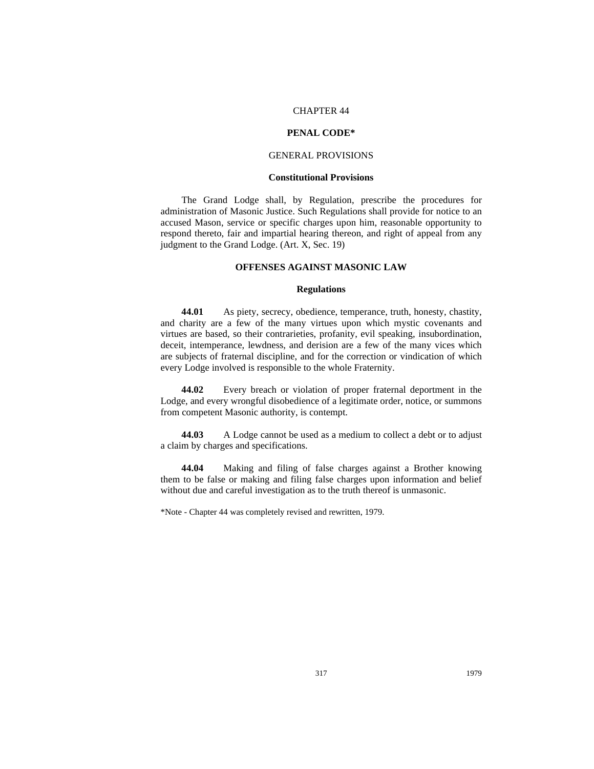# CHAPTER 44

# **PENAL CODE\***

# GENERAL PROVISIONS

# **Constitutional Provisions**

The Grand Lodge shall, by Regulation, prescribe the procedures for administration of Masonic Justice. Such Regulations shall provide for notice to an accused Mason, service or specific charges upon him, reasonable opportunity to respond thereto, fair and impartial hearing thereon, and right of appeal from any judgment to the Grand Lodge. (Art. X, Sec. 19)

# **OFFENSES AGAINST MASONIC LAW**

# **Regulations**

**44.01** As piety, secrecy, obedience, temperance, truth, honesty, chastity, and charity are a few of the many virtues upon which mystic covenants and virtues are based, so their contrarieties, profanity, evil speaking, insubordination, deceit, intemperance, lewdness, and derision are a few of the many vices which are subjects of fraternal discipline, and for the correction or vindication of which every Lodge involved is responsible to the whole Fraternity.

**44.02** Every breach or violation of proper fraternal deportment in the Lodge, and every wrongful disobedience of a legitimate order, notice, or summons from competent Masonic authority, is contempt.

**44.03** A Lodge cannot be used as a medium to collect a debt or to adjust a claim by charges and specifications.

**44.04** Making and filing of false charges against a Brother knowing them to be false or making and filing false charges upon information and belief without due and careful investigation as to the truth thereof is unmasonic.

\*Note - Chapter 44 was completely revised and rewritten, 1979.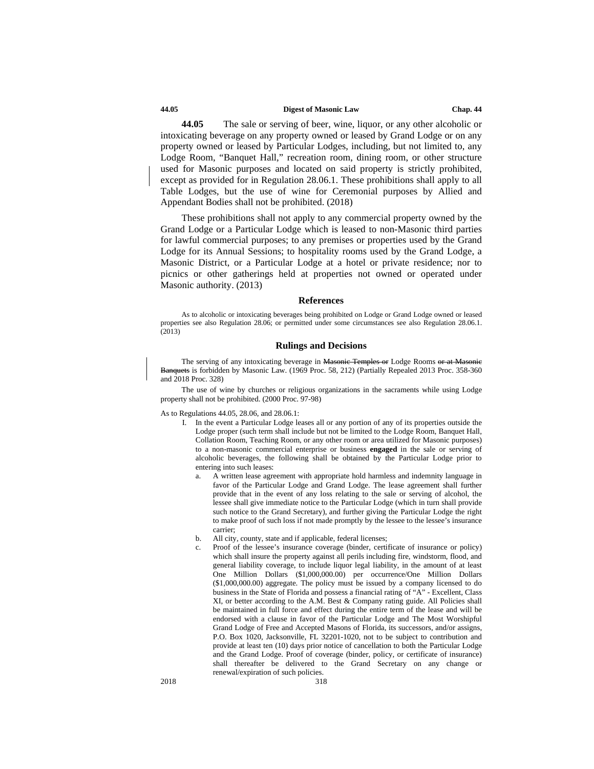### **44.05 Digest of Masonic Law Chap. 44**

**44.05** The sale or serving of beer, wine, liquor, or any other alcoholic or intoxicating beverage on any property owned or leased by Grand Lodge or on any property owned or leased by Particular Lodges, including, but not limited to, any Lodge Room, "Banquet Hall," recreation room, dining room, or other structure used for Masonic purposes and located on said property is strictly prohibited, except as provided for in Regulation 28.06.1. These prohibitions shall apply to all Table Lodges, but the use of wine for Ceremonial purposes by Allied and Appendant Bodies shall not be prohibited. (2018)

These prohibitions shall not apply to any commercial property owned by the Grand Lodge or a Particular Lodge which is leased to non-Masonic third parties for lawful commercial purposes; to any premises or properties used by the Grand Lodge for its Annual Sessions; to hospitality rooms used by the Grand Lodge, a Masonic District, or a Particular Lodge at a hotel or private residence; nor to picnics or other gatherings held at properties not owned or operated under Masonic authority. (2013)

#### **References**

As to alcoholic or intoxicating beverages being prohibited on Lodge or Grand Lodge owned or leased properties see also Regulation 28.06; or permitted under some circumstances see also Regulation 28.06.1.  $(2013)$ 

### **Rulings and Decisions**

The serving of any intoxicating beverage in Masonic Temples or Lodge Rooms or at Masonic Banquets is forbidden by Masonic Law. (1969 Proc. 58, 212) (Partially Repealed 2013 Proc. 358-360 and 2018 Proc. 328)

The use of wine by churches or religious organizations in the sacraments while using Lodge property shall not be prohibited. (2000 Proc. 97-98)

As to Regulations 44.05, 28.06, and 28.06.1:

- I. In the event a Particular Lodge leases all or any portion of any of its properties outside the Lodge proper (such term shall include but not be limited to the Lodge Room, Banquet Hall, Collation Room, Teaching Room, or any other room or area utilized for Masonic purposes) to a non-masonic commercial enterprise or business **engaged** in the sale or serving of alcoholic beverages, the following shall be obtained by the Particular Lodge prior to entering into such leases:
	- a. A written lease agreement with appropriate hold harmless and indemnity language in favor of the Particular Lodge and Grand Lodge. The lease agreement shall further provide that in the event of any loss relating to the sale or serving of alcohol, the lessee shall give immediate notice to the Particular Lodge (which in turn shall provide such notice to the Grand Secretary), and further giving the Particular Lodge the right to make proof of such loss if not made promptly by the lessee to the lessee's insurance carrier;
	- b. All city, county, state and if applicable, federal licenses;
	- c. Proof of the lessee's insurance coverage (binder, certificate of insurance or policy) which shall insure the property against all perils including fire, windstorm, flood, and general liability coverage, to include liquor legal liability, in the amount of at least One Million Dollars (\$1,000,000.00) per occurrence/One Million Dollars (\$1,000,000.00) aggregate. The policy must be issued by a company licensed to do business in the State of Florida and possess a financial rating of "A" - Excellent, Class XI, or better according to the A.M. Best & Company rating guide. All Policies shall be maintained in full force and effect during the entire term of the lease and will be endorsed with a clause in favor of the Particular Lodge and The Most Worshipful Grand Lodge of Free and Accepted Masons of Florida, its successors, and/or assigns, P.O. Box 1020, Jacksonville, FL 32201-1020, not to be subject to contribution and provide at least ten (10) days prior notice of cancellation to both the Particular Lodge and the Grand Lodge. Proof of coverage (binder, policy, or certificate of insurance) shall thereafter be delivered to the Grand Secretary on any change or renewal/expiration of such policies.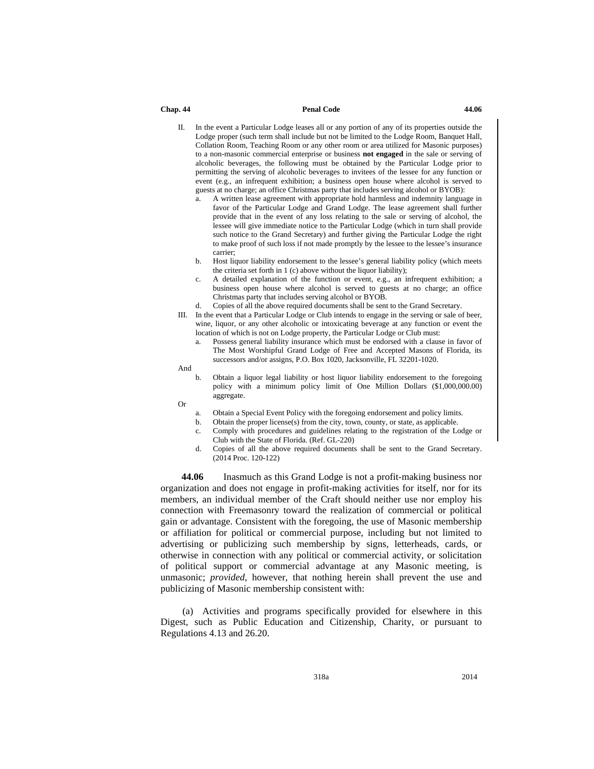- II. In the event a Particular Lodge leases all or any portion of any of its properties outside the Lodge proper (such term shall include but not be limited to the Lodge Room, Banquet Hall, Collation Room, Teaching Room or any other room or area utilized for Masonic purposes) to a non-masonic commercial enterprise or business **not engaged** in the sale or serving of alcoholic beverages, the following must be obtained by the Particular Lodge prior to permitting the serving of alcoholic beverages to invitees of the lessee for any function or event (e.g., an infrequent exhibition; a business open house where alcohol is served to guests at no charge; an office Christmas party that includes serving alcohol or BYOB):
	- a. A written lease agreement with appropriate hold harmless and indemnity language in favor of the Particular Lodge and Grand Lodge. The lease agreement shall further provide that in the event of any loss relating to the sale or serving of alcohol, the lessee will give immediate notice to the Particular Lodge (which in turn shall provide such notice to the Grand Secretary) and further giving the Particular Lodge the right to make proof of such loss if not made promptly by the lessee to the lessee's insurance carrier;
	- b. Host liquor liability endorsement to the lessee's general liability policy (which meets the criteria set forth in  $1$  (c) above without the liquor liability):
	- c. A detailed explanation of the function or event, e.g., an infrequent exhibition; a business open house where alcohol is served to guests at no charge; an office Christmas party that includes serving alcohol or BYOB.
	- d. Copies of all the above required documents shall be sent to the Grand Secretary.
- III. In the event that a Particular Lodge or Club intends to engage in the serving or sale of beer, wine, liquor, or any other alcoholic or intoxicating beverage at any function or event the location of which is not on Lodge property, the Particular Lodge or Club must:
	- a. Possess general liability insurance which must be endorsed with a clause in favor of The Most Worshipful Grand Lodge of Free and Accepted Masons of Florida, its successors and/or assigns, P.O. Box 1020, Jacksonville, FL 32201-1020.
- And
	- b. Obtain a liquor legal liability or host liquor liability endorsement to the foregoing policy with a minimum policy limit of One Million Dollars (\$1,000,000.00) aggregate.
- Or
- a. Obtain a Special Event Policy with the foregoing endorsement and policy limits.
- b. Obtain the proper license(s) from the city, town, county, or state, as applicable.
- c. Comply with procedures and guidelines relating to the registration of the Lodge or Club with the State of Florida. (Ref. GL-220)
- d. Copies of all the above required documents shall be sent to the Grand Secretary. (2014 Proc. 120-122)

**44.06** Inasmuch as this Grand Lodge is not a profit-making business nor organization and does not engage in profit-making activities for itself, nor for its members, an individual member of the Craft should neither use nor employ his connection with Freemasonry toward the realization of commercial or political gain or advantage. Consistent with the foregoing, the use of Masonic membership or affiliation for political or commercial purpose, including but not limited to advertising or publicizing such membership by signs, letterheads, cards, or otherwise in connection with any political or commercial activity, or solicitation of political support or commercial advantage at any Masonic meeting, is unmasonic; *provided*, however, that nothing herein shall prevent the use and publicizing of Masonic membership consistent with:

(a) Activities and programs specifically provided for elsewhere in this Digest, such as Public Education and Citizenship, Charity, or pursuant to Regulations 4.13 and 26.20.

318a 2014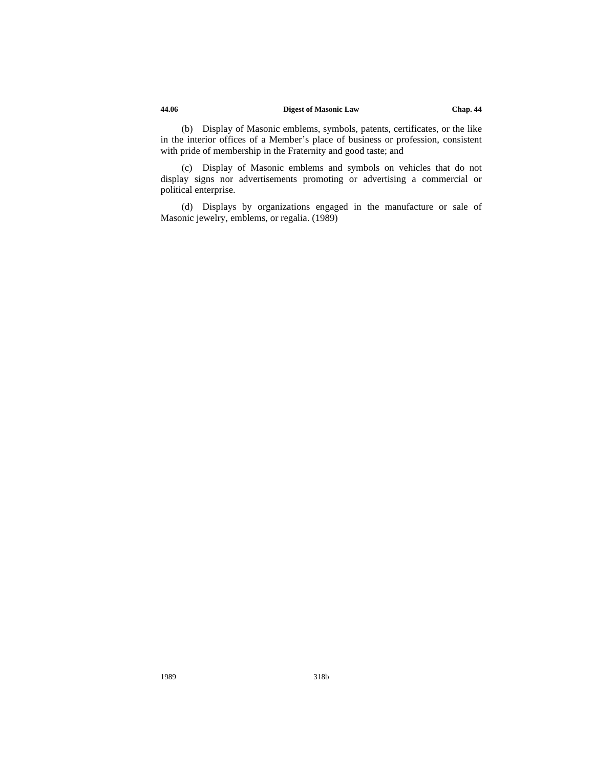# **44.06 Digest of Masonic Law Chap. 44**

(b) Display of Masonic emblems, symbols, patents, certificates, or the like in the interior offices of a Member's place of business or profession, consistent with pride of membership in the Fraternity and good taste; and

(c) Display of Masonic emblems and symbols on vehicles that do not display signs nor advertisements promoting or advertising a commercial or political enterprise.

(d) Displays by organizations engaged in the manufacture or sale of Masonic jewelry, emblems, or regalia. (1989)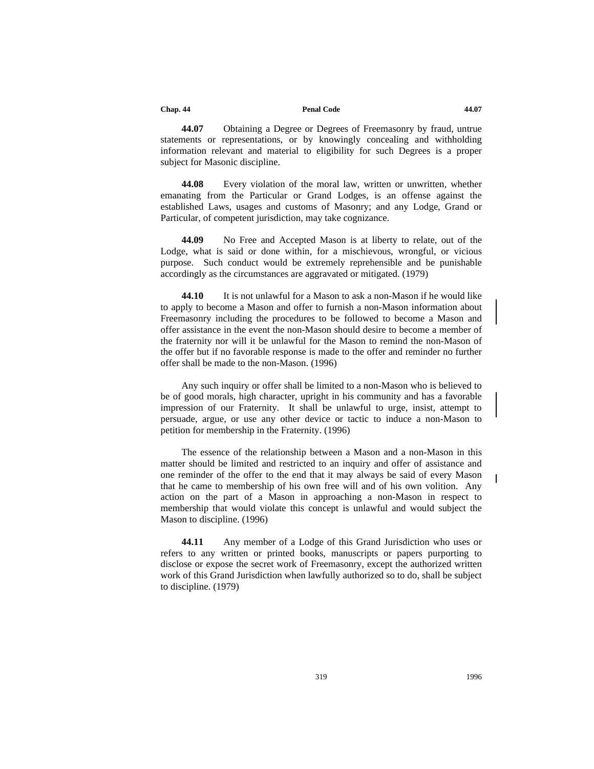**44.07** Obtaining a Degree or Degrees of Freemasonry by fraud, untrue statements or representations, or by knowingly concealing and withholding information relevant and material to eligibility for such Degrees is a proper subject for Masonic discipline.

**44.08** Every violation of the moral law, written or unwritten, whether emanating from the Particular or Grand Lodges, is an offense against the established Laws, usages and customs of Masonry; and any Lodge, Grand or Particular, of competent jurisdiction, may take cognizance.

**44.09** No Free and Accepted Mason is at liberty to relate, out of the Lodge, what is said or done within, for a mischievous, wrongful, or vicious purpose. Such conduct would be extremely reprehensible and be punishable accordingly as the circumstances are aggravated or mitigated. (1979)

**44.10** It is not unlawful for a Mason to ask a non-Mason if he would like to apply to become a Mason and offer to furnish a non-Mason information about Freemasonry including the procedures to be followed to become a Mason and offer assistance in the event the non-Mason should desire to become a member of the fraternity nor will it be unlawful for the Mason to remind the non-Mason of the offer but if no favorable response is made to the offer and reminder no further offer shall be made to the non-Mason. (1996)

Any such inquiry or offer shall be limited to a non-Mason who is believed to be of good morals, high character, upright in his community and has a favorable impression of our Fraternity. It shall be unlawful to urge, insist, attempt to persuade, argue, or use any other device or tactic to induce a non-Mason to petition for membership in the Fraternity. (1996)

The essence of the relationship between a Mason and a non-Mason in this matter should be limited and restricted to an inquiry and offer of assistance and one reminder of the offer to the end that it may always be said of every Mason that he came to membership of his own free will and of his own volition. Any action on the part of a Mason in approaching a non-Mason in respect to membership that would violate this concept is unlawful and would subject the Mason to discipline. (1996)

**44.11** Any member of a Lodge of this Grand Jurisdiction who uses or refers to any written or printed books, manuscripts or papers purporting to disclose or expose the secret work of Freemasonry, except the authorized written work of this Grand Jurisdiction when lawfully authorized so to do, shall be subject to discipline. (1979)

319 1996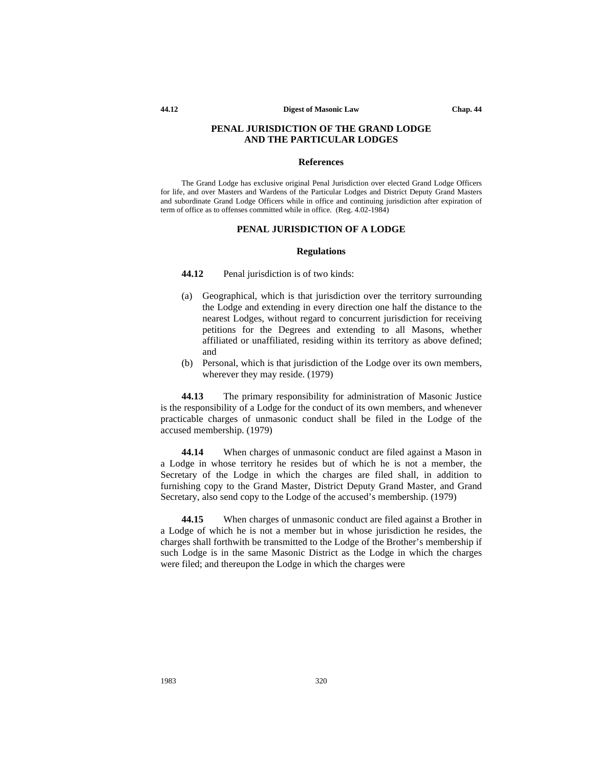# **PENAL JURISDICTION OF THE GRAND LODGE AND THE PARTICULAR LODGES**

### **References**

The Grand Lodge has exclusive original Penal Jurisdiction over elected Grand Lodge Officers for life, and over Masters and Wardens of the Particular Lodges and District Deputy Grand Masters and subordinate Grand Lodge Officers while in office and continuing jurisdiction after expiration of term of office as to offenses committed while in office. (Reg. 4.02-1984)

# **PENAL JURISDICTION OF A LODGE**

### **Regulations**

**44.12** Penal jurisdiction is of two kinds:

- (a) Geographical, which is that jurisdiction over the territory surrounding the Lodge and extending in every direction one half the distance to the nearest Lodges, without regard to concurrent jurisdiction for receiving petitions for the Degrees and extending to all Masons, whether affiliated or unaffiliated, residing within its territory as above defined; and
- (b) Personal, which is that jurisdiction of the Lodge over its own members, wherever they may reside. (1979)

**44.13** The primary responsibility for administration of Masonic Justice is the responsibility of a Lodge for the conduct of its own members, and whenever practicable charges of unmasonic conduct shall be filed in the Lodge of the accused membership. (1979)

**44.14** When charges of unmasonic conduct are filed against a Mason in a Lodge in whose territory he resides but of which he is not a member, the Secretary of the Lodge in which the charges are filed shall, in addition to furnishing copy to the Grand Master, District Deputy Grand Master, and Grand Secretary, also send copy to the Lodge of the accused's membership. (1979)

**44.15** When charges of unmasonic conduct are filed against a Brother in a Lodge of which he is not a member but in whose jurisdiction he resides, the charges shall forthwith be transmitted to the Lodge of the Brother's membership if such Lodge is in the same Masonic District as the Lodge in which the charges were filed; and thereupon the Lodge in which the charges were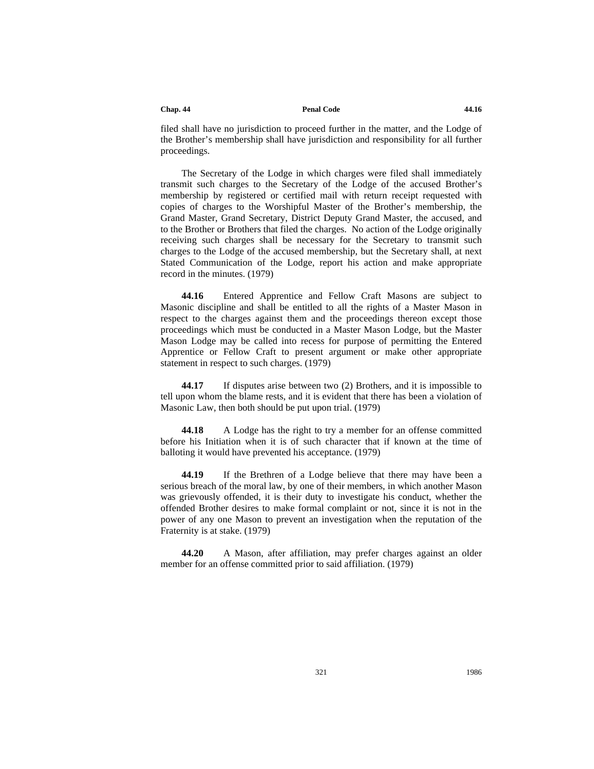filed shall have no jurisdiction to proceed further in the matter, and the Lodge of the Brother's membership shall have jurisdiction and responsibility for all further proceedings.

The Secretary of the Lodge in which charges were filed shall immediately transmit such charges to the Secretary of the Lodge of the accused Brother's membership by registered or certified mail with return receipt requested with copies of charges to the Worshipful Master of the Brother's membership, the Grand Master, Grand Secretary, District Deputy Grand Master, the accused, and to the Brother or Brothers that filed the charges. No action of the Lodge originally receiving such charges shall be necessary for the Secretary to transmit such charges to the Lodge of the accused membership, but the Secretary shall, at next Stated Communication of the Lodge, report his action and make appropriate record in the minutes. (1979)

**44.16** Entered Apprentice and Fellow Craft Masons are subject to Masonic discipline and shall be entitled to all the rights of a Master Mason in respect to the charges against them and the proceedings thereon except those proceedings which must be conducted in a Master Mason Lodge, but the Master Mason Lodge may be called into recess for purpose of permitting the Entered Apprentice or Fellow Craft to present argument or make other appropriate statement in respect to such charges. (1979)

**44.17** If disputes arise between two (2) Brothers, and it is impossible to tell upon whom the blame rests, and it is evident that there has been a violation of Masonic Law, then both should be put upon trial. (1979)

**44.18** A Lodge has the right to try a member for an offense committed before his Initiation when it is of such character that if known at the time of balloting it would have prevented his acceptance. (1979)

**44.19** If the Brethren of a Lodge believe that there may have been a serious breach of the moral law, by one of their members, in which another Mason was grievously offended, it is their duty to investigate his conduct, whether the offended Brother desires to make formal complaint or not, since it is not in the power of any one Mason to prevent an investigation when the reputation of the Fraternity is at stake. (1979)

**44.20** A Mason, after affiliation, may prefer charges against an older member for an offense committed prior to said affiliation. (1979)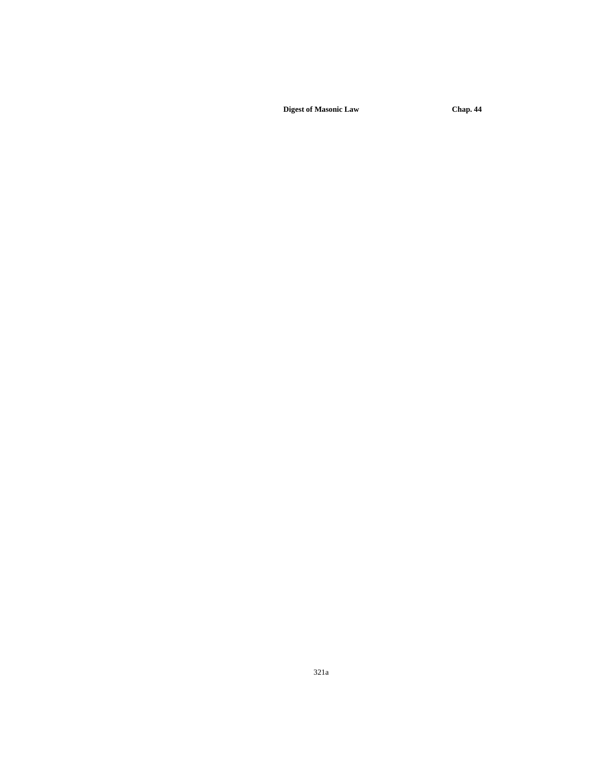**Digest of Masonic Law Chap. 44**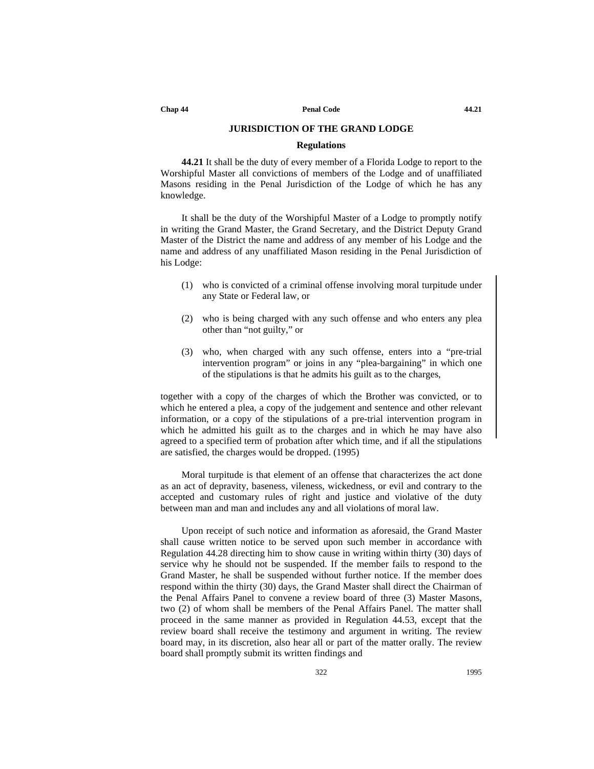# **JURISDICTION OF THE GRAND LODGE**

# **Regulations**

**44.21** It shall be the duty of every member of a Florida Lodge to report to the Worshipful Master all convictions of members of the Lodge and of unaffiliated Masons residing in the Penal Jurisdiction of the Lodge of which he has any knowledge.

It shall be the duty of the Worshipful Master of a Lodge to promptly notify in writing the Grand Master, the Grand Secretary, and the District Deputy Grand Master of the District the name and address of any member of his Lodge and the name and address of any unaffiliated Mason residing in the Penal Jurisdiction of his Lodge:

- (1) who is convicted of a criminal offense involving moral turpitude under any State or Federal law, or
- (2) who is being charged with any such offense and who enters any plea other than "not guilty," or
- (3) who, when charged with any such offense, enters into a "pre-trial intervention program" or joins in any "plea-bargaining" in which one of the stipulations is that he admits his guilt as to the charges,

together with a copy of the charges of which the Brother was convicted, or to which he entered a plea, a copy of the judgement and sentence and other relevant information, or a copy of the stipulations of a pre-trial intervention program in which he admitted his guilt as to the charges and in which he may have also agreed to a specified term of probation after which time, and if all the stipulations are satisfied, the charges would be dropped. (1995)

Moral turpitude is that element of an offense that characterizes the act done as an act of depravity, baseness, vileness, wickedness, or evil and contrary to the accepted and customary rules of right and justice and violative of the duty between man and man and includes any and all violations of moral law.

Upon receipt of such notice and information as aforesaid, the Grand Master shall cause written notice to be served upon such member in accordance with Regulation 44.28 directing him to show cause in writing within thirty (30) days of service why he should not be suspended. If the member fails to respond to the Grand Master, he shall be suspended without further notice. If the member does respond within the thirty (30) days, the Grand Master shall direct the Chairman of the Penal Affairs Panel to convene a review board of three (3) Master Masons, two (2) of whom shall be members of the Penal Affairs Panel. The matter shall proceed in the same manner as provided in Regulation 44.53, except that the review board shall receive the testimony and argument in writing. The review board may, in its discretion, also hear all or part of the matter orally. The review board shall promptly submit its written findings and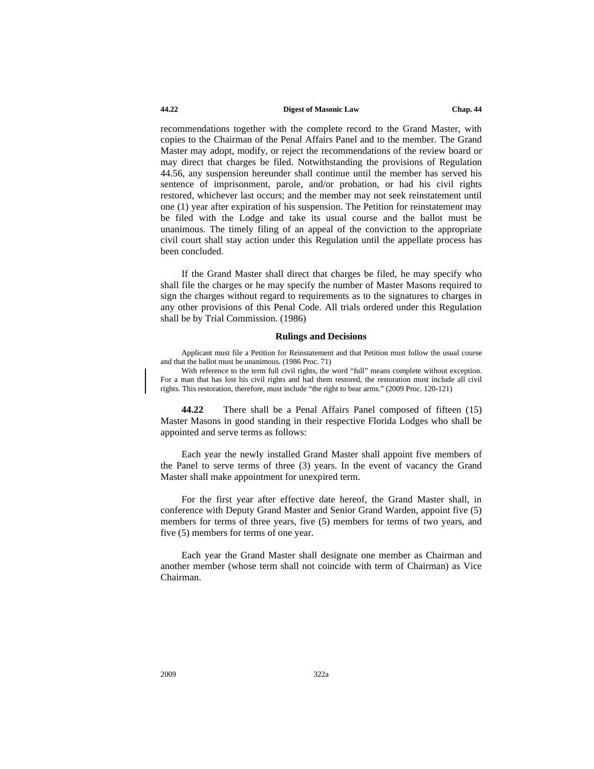### **44.22 Digest of Masonic Law Chap. 44**

recommendations together with the complete record to the Grand Master, with copies to the Chairman of the Penal Affairs Panel and to the member. The Grand Master may adopt, modify, or reject the recommendations of the review board or may direct that charges be filed. Notwithstanding the provisions of Regulation 44.56, any suspension hereunder shall continue until the member has served his sentence of imprisonment, parole, and/or probation, or had his civil rights restored, whichever last occurs; and the member may not seek reinstatement until one (1) year after expiration of his suspension. The Petition for reinstatement may be filed with the Lodge and take its usual course and the ballot must be unanimous. The timely filing of an appeal of the conviction to the appropriate civil court shall stay action under this Regulation until the appellate process has been concluded.

If the Grand Master shall direct that charges be filed, he may specify who shall file the charges or he may specify the number of Master Masons required to sign the charges without regard to requirements as to the signatures to charges in any other provisions of this Penal Code. All trials ordered under this Regulation shall be by Trial Commission. (1986)

### **Rulings and Decisions**

Applicant must file a Petition for Reinstatement and that Petition must follow the usual course and that the ballot must be unanimous. (1986 Proc. 71)

With reference to the term full civil rights, the word "full" means complete without exception. For a man that has lost his civil rights and had them restored, the restoration must include all civil rights. This restoration, therefore, must include "the right to bear arms." (2009 Proc. 120-121)

**44.22** There shall be a Penal Affairs Panel composed of fifteen (15) Master Masons in good standing in their respective Florida Lodges who shall be appointed and serve terms as follows:

Each year the newly installed Grand Master shall appoint five members of the Panel to serve terms of three (3) years. In the event of vacancy the Grand Master shall make appointment for unexpired term.

For the first year after effective date hereof, the Grand Master shall, in conference with Deputy Grand Master and Senior Grand Warden, appoint five (5) members for terms of three years, five (5) members for terms of two years, and five (5) members for terms of one year.

Each year the Grand Master shall designate one member as Chairman and another member (whose term shall not coincide with term of Chairman) as Vice Chairman.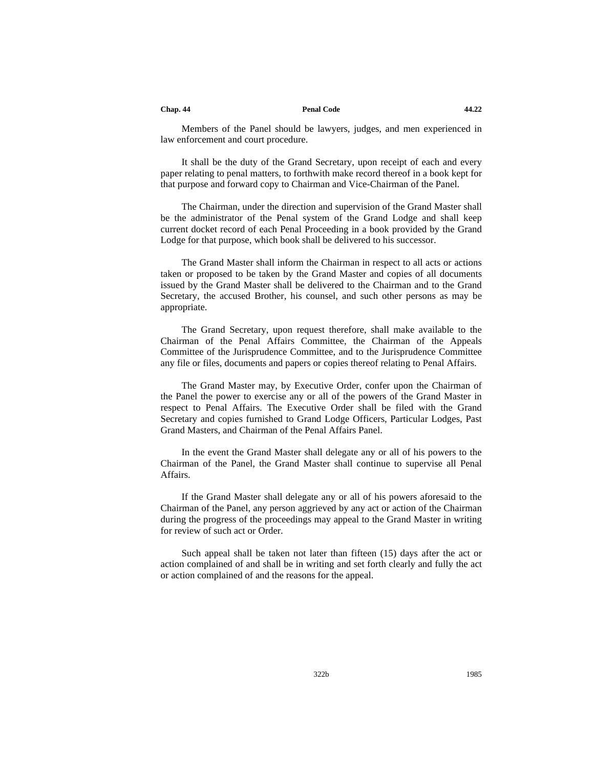Members of the Panel should be lawyers, judges, and men experienced in law enforcement and court procedure.

It shall be the duty of the Grand Secretary, upon receipt of each and every paper relating to penal matters, to forthwith make record thereof in a book kept for that purpose and forward copy to Chairman and Vice-Chairman of the Panel.

The Chairman, under the direction and supervision of the Grand Master shall be the administrator of the Penal system of the Grand Lodge and shall keep current docket record of each Penal Proceeding in a book provided by the Grand Lodge for that purpose, which book shall be delivered to his successor.

The Grand Master shall inform the Chairman in respect to all acts or actions taken or proposed to be taken by the Grand Master and copies of all documents issued by the Grand Master shall be delivered to the Chairman and to the Grand Secretary, the accused Brother, his counsel, and such other persons as may be appropriate.

The Grand Secretary, upon request therefore, shall make available to the Chairman of the Penal Affairs Committee, the Chairman of the Appeals Committee of the Jurisprudence Committee, and to the Jurisprudence Committee any file or files, documents and papers or copies thereof relating to Penal Affairs.

The Grand Master may, by Executive Order, confer upon the Chairman of the Panel the power to exercise any or all of the powers of the Grand Master in respect to Penal Affairs. The Executive Order shall be filed with the Grand Secretary and copies furnished to Grand Lodge Officers, Particular Lodges, Past Grand Masters, and Chairman of the Penal Affairs Panel.

In the event the Grand Master shall delegate any or all of his powers to the Chairman of the Panel, the Grand Master shall continue to supervise all Penal Affairs.

If the Grand Master shall delegate any or all of his powers aforesaid to the Chairman of the Panel, any person aggrieved by any act or action of the Chairman during the progress of the proceedings may appeal to the Grand Master in writing for review of such act or Order.

Such appeal shall be taken not later than fifteen (15) days after the act or action complained of and shall be in writing and set forth clearly and fully the act or action complained of and the reasons for the appeal.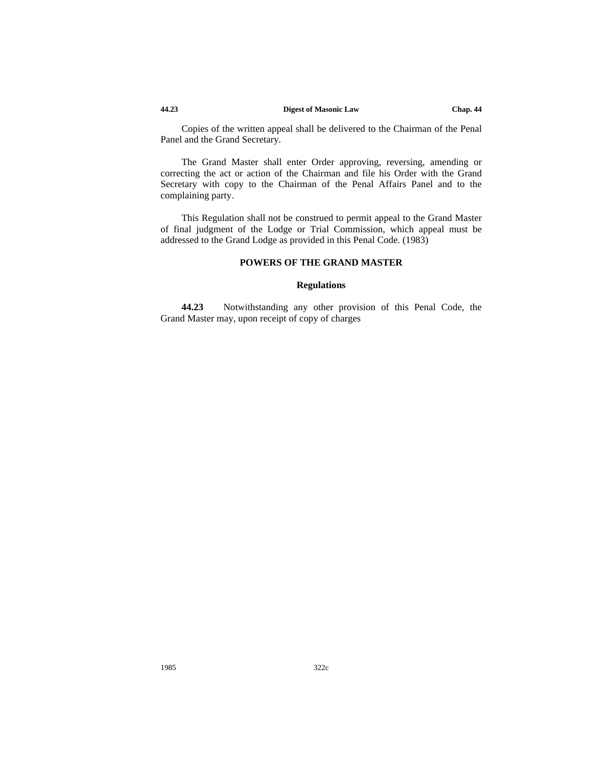# **44.23 Digest of Masonic Law Chap. 44**

Copies of the written appeal shall be delivered to the Chairman of the Penal Panel and the Grand Secretary.

The Grand Master shall enter Order approving, reversing, amending or correcting the act or action of the Chairman and file his Order with the Grand Secretary with copy to the Chairman of the Penal Affairs Panel and to the complaining party.

This Regulation shall not be construed to permit appeal to the Grand Master of final judgment of the Lodge or Trial Commission, which appeal must be addressed to the Grand Lodge as provided in this Penal Code. (1983)

# **POWERS OF THE GRAND MASTER**

# **Regulations**

**44.23** Notwithstanding any other provision of this Penal Code, the Grand Master may, upon receipt of copy of charges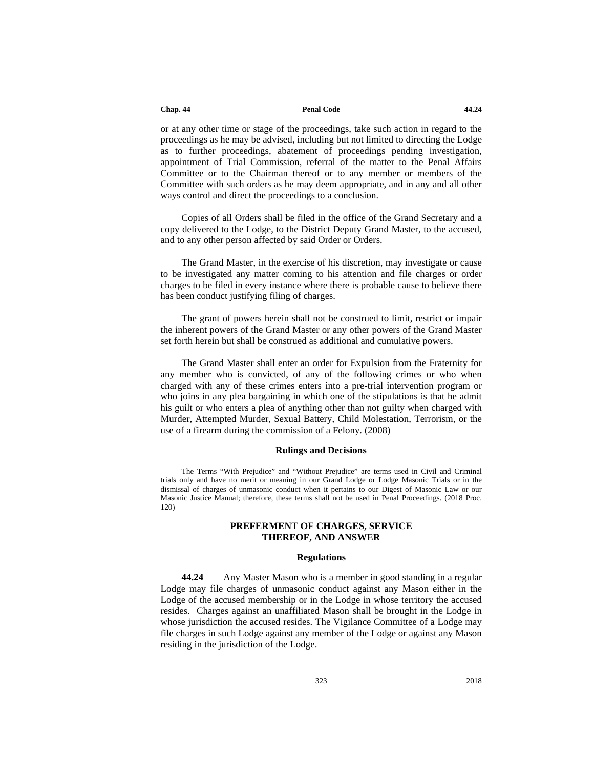or at any other time or stage of the proceedings, take such action in regard to the proceedings as he may be advised, including but not limited to directing the Lodge as to further proceedings, abatement of proceedings pending investigation, appointment of Trial Commission, referral of the matter to the Penal Affairs Committee or to the Chairman thereof or to any member or members of the Committee with such orders as he may deem appropriate, and in any and all other ways control and direct the proceedings to a conclusion.

Copies of all Orders shall be filed in the office of the Grand Secretary and a copy delivered to the Lodge, to the District Deputy Grand Master, to the accused, and to any other person affected by said Order or Orders.

The Grand Master, in the exercise of his discretion, may investigate or cause to be investigated any matter coming to his attention and file charges or order charges to be filed in every instance where there is probable cause to believe there has been conduct justifying filing of charges.

The grant of powers herein shall not be construed to limit, restrict or impair the inherent powers of the Grand Master or any other powers of the Grand Master set forth herein but shall be construed as additional and cumulative powers.

The Grand Master shall enter an order for Expulsion from the Fraternity for any member who is convicted, of any of the following crimes or who when charged with any of these crimes enters into a pre-trial intervention program or who joins in any plea bargaining in which one of the stipulations is that he admit his guilt or who enters a plea of anything other than not guilty when charged with Murder, Attempted Murder, Sexual Battery, Child Molestation, Terrorism, or the use of a firearm during the commission of a Felony. (2008)

#### **Rulings and Decisions**

The Terms "With Prejudice" and "Without Prejudice" are terms used in Civil and Criminal trials only and have no merit or meaning in our Grand Lodge or Lodge Masonic Trials or in the dismissal of charges of unmasonic conduct when it pertains to our Digest of Masonic Law or our Masonic Justice Manual; therefore, these terms shall not be used in Penal Proceedings. (2018 Proc. 120)

# **PREFERMENT OF CHARGES, SERVICE THEREOF, AND ANSWER**

#### **Regulations**

**44.24** Any Master Mason who is a member in good standing in a regular Lodge may file charges of unmasonic conduct against any Mason either in the Lodge of the accused membership or in the Lodge in whose territory the accused resides. Charges against an unaffiliated Mason shall be brought in the Lodge in whose jurisdiction the accused resides. The Vigilance Committee of a Lodge may file charges in such Lodge against any member of the Lodge or against any Mason residing in the jurisdiction of the Lodge.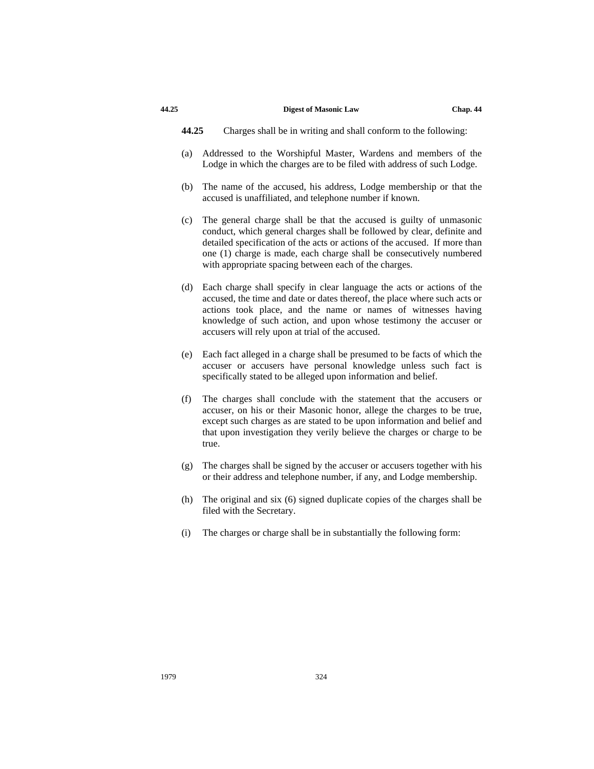### **44.25 Digest of Masonic Law Chap. 44**

**44.25** Charges shall be in writing and shall conform to the following:

- (a) Addressed to the Worshipful Master, Wardens and members of the Lodge in which the charges are to be filed with address of such Lodge.
- (b) The name of the accused, his address, Lodge membership or that the accused is unaffiliated, and telephone number if known.
- (c) The general charge shall be that the accused is guilty of unmasonic conduct, which general charges shall be followed by clear, definite and detailed specification of the acts or actions of the accused. If more than one (1) charge is made, each charge shall be consecutively numbered with appropriate spacing between each of the charges.
- (d) Each charge shall specify in clear language the acts or actions of the accused, the time and date or dates thereof, the place where such acts or actions took place, and the name or names of witnesses having knowledge of such action, and upon whose testimony the accuser or accusers will rely upon at trial of the accused.
- (e) Each fact alleged in a charge shall be presumed to be facts of which the accuser or accusers have personal knowledge unless such fact is specifically stated to be alleged upon information and belief.
- (f) The charges shall conclude with the statement that the accusers or accuser, on his or their Masonic honor, allege the charges to be true, except such charges as are stated to be upon information and belief and that upon investigation they verily believe the charges or charge to be true.
- (g) The charges shall be signed by the accuser or accusers together with his or their address and telephone number, if any, and Lodge membership.
- (h) The original and six (6) signed duplicate copies of the charges shall be filed with the Secretary.
- (i) The charges or charge shall be in substantially the following form: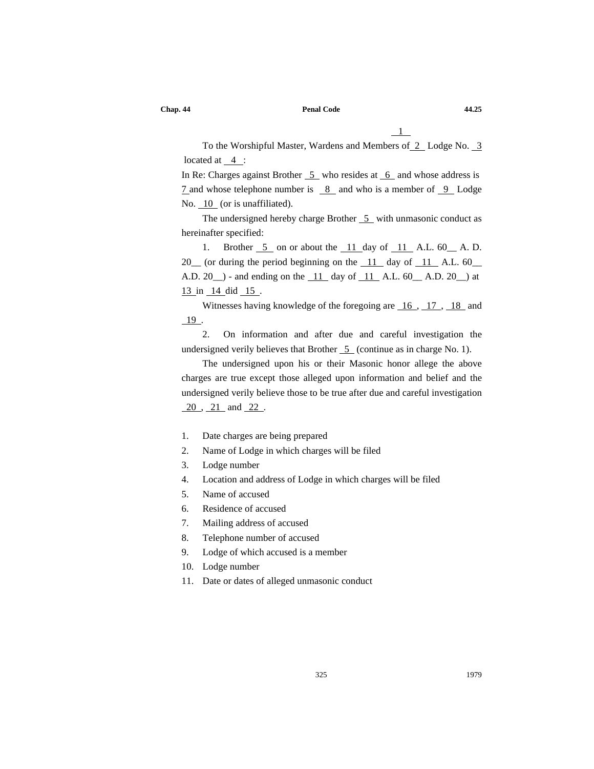```
 1
```
To the Worshipful Master, Wardens and Members of 2 Lodge No. 3 located at  $4$ :

In Re: Charges against Brother  $\overline{5}$  who resides at  $\overline{6}$  and whose address is  $\frac{7}{2}$  and whose telephone number is  $\frac{8}{2}$  and who is a member of  $\frac{9}{2}$  Lodge No. 10 (or is unaffiliated).

The undersigned hereby charge Brother  $\overline{\phantom{a}}$  with unmasonic conduct as hereinafter specified:

1. Brother  $\overline{5}$  on or about the  $\overline{11}$  day of  $\overline{11}$  A.L. 60 A.D.  $20$  (or during the period beginning on the  $11$  day of  $11$  A.L. 60 A.D.  $20$  ) - and ending on the  $11$  day of  $11$  A.L. 60 A.D.  $20$  at 13 in 14 did 15.

Witnesses having knowledge of the foregoing are 16, 17, 18 and  $19$ .

2. On information and after due and careful investigation the undersigned verily believes that Brother  $\overline{5}$  (continue as in charge No. 1).

The undersigned upon his or their Masonic honor allege the above charges are true except those alleged upon information and belief and the undersigned verily believe those to be true after due and careful investigation  $20$ ,  $21$  and  $22$ .

- 1. Date charges are being prepared
- 2. Name of Lodge in which charges will be filed
- 3. Lodge number
- 4. Location and address of Lodge in which charges will be filed
- 5. Name of accused
- 6. Residence of accused
- 7. Mailing address of accused
- 8. Telephone number of accused
- 9. Lodge of which accused is a member
- 10. Lodge number
- 11. Date or dates of alleged unmasonic conduct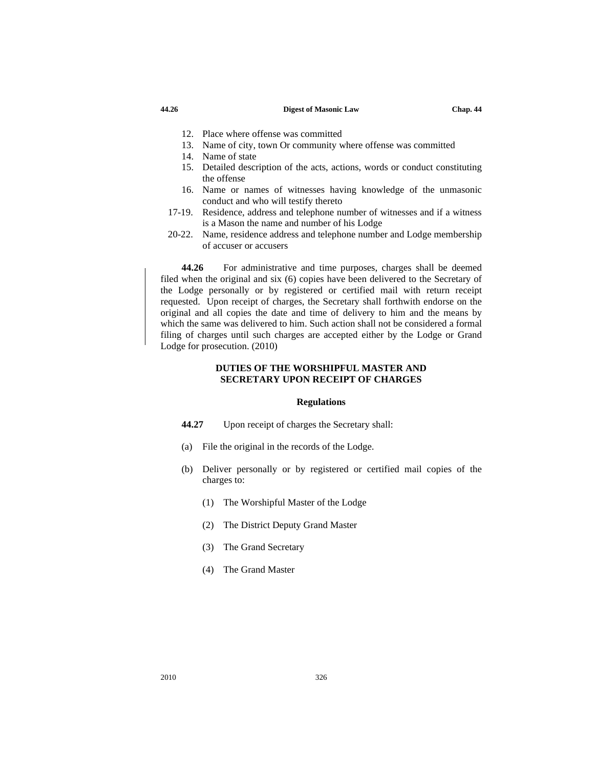# **44.26 Digest of Masonic Law Chap. 44**

- 12. Place where offense was committed
- 13. Name of city, town Or community where offense was committed
- 14. Name of state
- 15. Detailed description of the acts, actions, words or conduct constituting the offense
- 16. Name or names of witnesses having knowledge of the unmasonic conduct and who will testify thereto
- 17-19. Residence, address and telephone number of witnesses and if a witness is a Mason the name and number of his Lodge
- 20-22. Name, residence address and telephone number and Lodge membership of accuser or accusers

**44.26** For administrative and time purposes, charges shall be deemed filed when the original and six (6) copies have been delivered to the Secretary of the Lodge personally or by registered or certified mail with return receipt requested. Upon receipt of charges, the Secretary shall forthwith endorse on the original and all copies the date and time of delivery to him and the means by which the same was delivered to him. Such action shall not be considered a formal filing of charges until such charges are accepted either by the Lodge or Grand Lodge for prosecution. (2010)

# **DUTIES OF THE WORSHIPFUL MASTER AND SECRETARY UPON RECEIPT OF CHARGES**

# **Regulations**

- **44.27** Upon receipt of charges the Secretary shall:
- (a) File the original in the records of the Lodge.
- (b) Deliver personally or by registered or certified mail copies of the charges to:
	- (1) The Worshipful Master of the Lodge
	- (2) The District Deputy Grand Master
	- (3) The Grand Secretary
	- (4) The Grand Master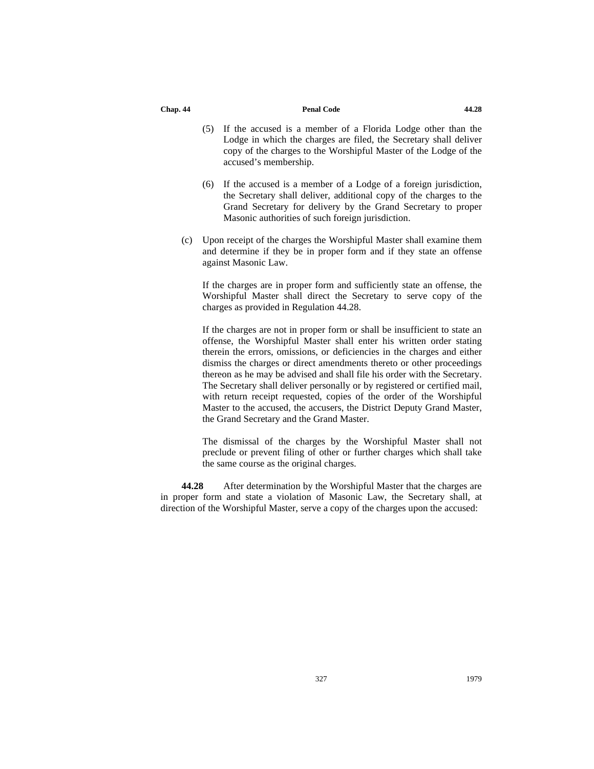- (5) If the accused is a member of a Florida Lodge other than the Lodge in which the charges are filed, the Secretary shall deliver copy of the charges to the Worshipful Master of the Lodge of the accused's membership.
- (6) If the accused is a member of a Lodge of a foreign jurisdiction, the Secretary shall deliver, additional copy of the charges to the Grand Secretary for delivery by the Grand Secretary to proper Masonic authorities of such foreign jurisdiction.
- (c) Upon receipt of the charges the Worshipful Master shall examine them and determine if they be in proper form and if they state an offense against Masonic Law.

If the charges are in proper form and sufficiently state an offense, the Worshipful Master shall direct the Secretary to serve copy of the charges as provided in Regulation 44.28.

If the charges are not in proper form or shall be insufficient to state an offense, the Worshipful Master shall enter his written order stating therein the errors, omissions, or deficiencies in the charges and either dismiss the charges or direct amendments thereto or other proceedings thereon as he may be advised and shall file his order with the Secretary. The Secretary shall deliver personally or by registered or certified mail, with return receipt requested, copies of the order of the Worshipful Master to the accused, the accusers, the District Deputy Grand Master, the Grand Secretary and the Grand Master.

The dismissal of the charges by the Worshipful Master shall not preclude or prevent filing of other or further charges which shall take the same course as the original charges.

**44.28** After determination by the Worshipful Master that the charges are in proper form and state a violation of Masonic Law, the Secretary shall, at direction of the Worshipful Master, serve a copy of the charges upon the accused: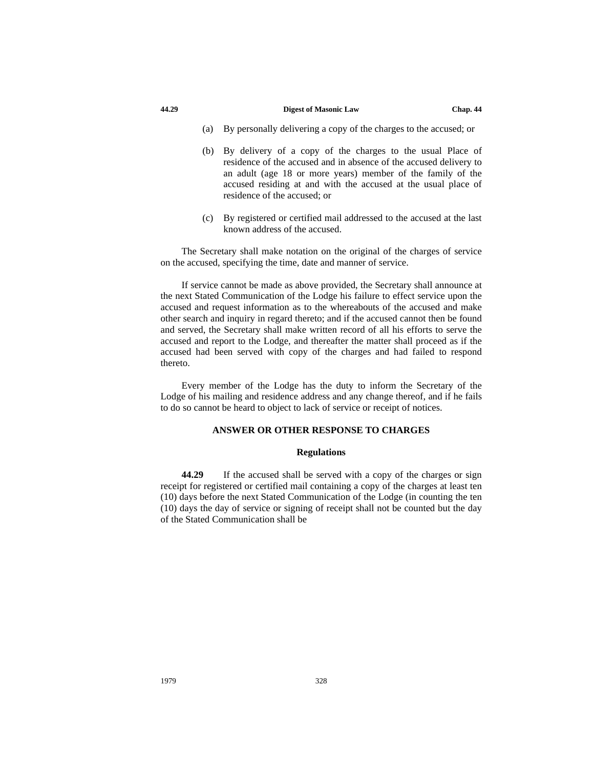#### **44.29 Digest of Masonic Law Chap. 44**

- (a) By personally delivering a copy of the charges to the accused; or
- (b) By delivery of a copy of the charges to the usual Place of residence of the accused and in absence of the accused delivery to an adult (age 18 or more years) member of the family of the accused residing at and with the accused at the usual place of residence of the accused; or
- (c) By registered or certified mail addressed to the accused at the last known address of the accused.

The Secretary shall make notation on the original of the charges of service on the accused, specifying the time, date and manner of service.

If service cannot be made as above provided, the Secretary shall announce at the next Stated Communication of the Lodge his failure to effect service upon the accused and request information as to the whereabouts of the accused and make other search and inquiry in regard thereto; and if the accused cannot then be found and served, the Secretary shall make written record of all his efforts to serve the accused and report to the Lodge, and thereafter the matter shall proceed as if the accused had been served with copy of the charges and had failed to respond thereto.

Every member of the Lodge has the duty to inform the Secretary of the Lodge of his mailing and residence address and any change thereof, and if he fails to do so cannot be heard to object to lack of service or receipt of notices.

# **ANSWER OR OTHER RESPONSE TO CHARGES**

# **Regulations**

**44.29** If the accused shall be served with a copy of the charges or sign receipt for registered or certified mail containing a copy of the charges at least ten (10) days before the next Stated Communication of the Lodge (in counting the ten (10) days the day of service or signing of receipt shall not be counted but the day of the Stated Communication shall be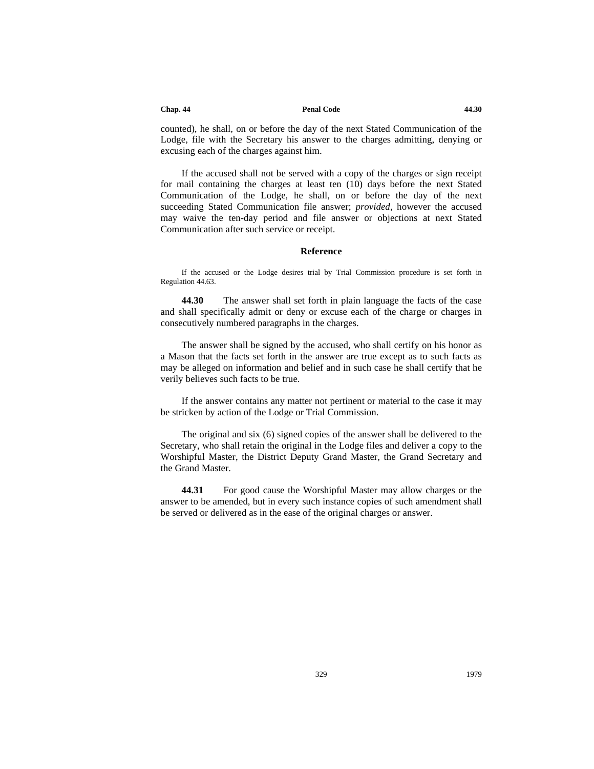counted), he shall, on or before the day of the next Stated Communication of the Lodge, file with the Secretary his answer to the charges admitting, denying or excusing each of the charges against him.

If the accused shall not be served with a copy of the charges or sign receipt for mail containing the charges at least ten (10) days before the next Stated Communication of the Lodge, he shall, on or before the day of the next succeeding Stated Communication file answer; *provided*, however the accused may waive the ten-day period and file answer or objections at next Stated Communication after such service or receipt.

# **Reference**

If the accused or the Lodge desires trial by Trial Commission procedure is set forth in Regulation 44.63.

**44.30** The answer shall set forth in plain language the facts of the case and shall specifically admit or deny or excuse each of the charge or charges in consecutively numbered paragraphs in the charges.

The answer shall be signed by the accused, who shall certify on his honor as a Mason that the facts set forth in the answer are true except as to such facts as may be alleged on information and belief and in such case he shall certify that he verily believes such facts to be true.

If the answer contains any matter not pertinent or material to the case it may be stricken by action of the Lodge or Trial Commission.

The original and six (6) signed copies of the answer shall be delivered to the Secretary, who shall retain the original in the Lodge files and deliver a copy to the Worshipful Master, the District Deputy Grand Master, the Grand Secretary and the Grand Master.

**44.31** For good cause the Worshipful Master may allow charges or the answer to be amended, but in every such instance copies of such amendment shall be served or delivered as in the ease of the original charges or answer.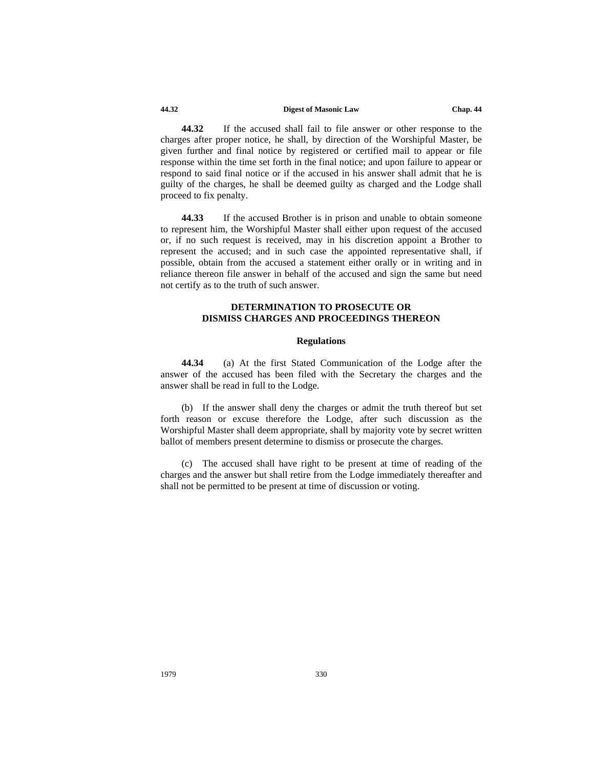# **44.32 Digest of Masonic Law Chap. 44**

**44.32** If the accused shall fail to file answer or other response to the charges after proper notice, he shall, by direction of the Worshipful Master, be given further and final notice by registered or certified mail to appear or file response within the time set forth in the final notice; and upon failure to appear or respond to said final notice or if the accused in his answer shall admit that he is guilty of the charges, he shall be deemed guilty as charged and the Lodge shall proceed to fix penalty.

**44.33** If the accused Brother is in prison and unable to obtain someone to represent him, the Worshipful Master shall either upon request of the accused or, if no such request is received, may in his discretion appoint a Brother to represent the accused; and in such case the appointed representative shall, if possible, obtain from the accused a statement either orally or in writing and in reliance thereon file answer in behalf of the accused and sign the same but need not certify as to the truth of such answer.

# **DETERMINATION TO PROSECUTE OR DISMISS CHARGES AND PROCEEDINGS THEREON**

### **Regulations**

**44.34** (a) At the first Stated Communication of the Lodge after the answer of the accused has been filed with the Secretary the charges and the answer shall be read in full to the Lodge.

(b) If the answer shall deny the charges or admit the truth thereof but set forth reason or excuse therefore the Lodge, after such discussion as the Worshipful Master shall deem appropriate, shall by majority vote by secret written ballot of members present determine to dismiss or prosecute the charges.

(c) The accused shall have right to be present at time of reading of the charges and the answer but shall retire from the Lodge immediately thereafter and shall not be permitted to be present at time of discussion or voting.

1979 330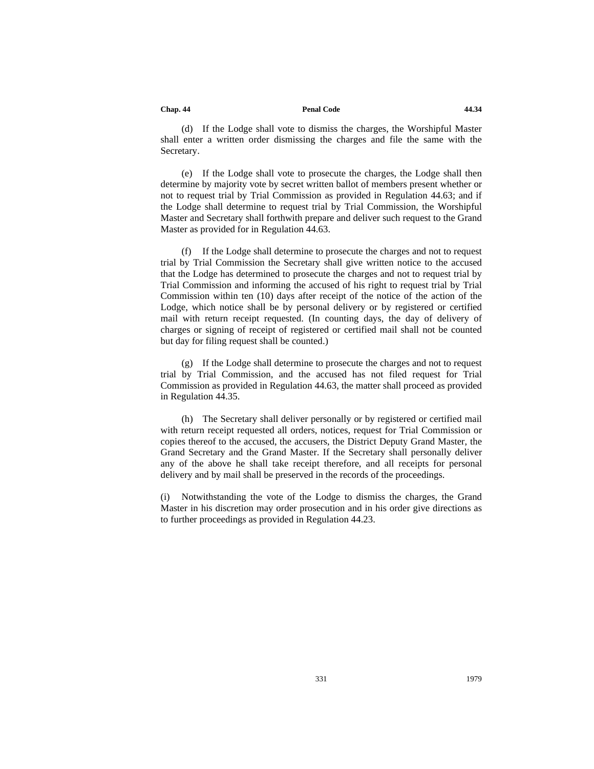(d) If the Lodge shall vote to dismiss the charges, the Worshipful Master shall enter a written order dismissing the charges and file the same with the Secretary.

(e) If the Lodge shall vote to prosecute the charges, the Lodge shall then determine by majority vote by secret written ballot of members present whether or not to request trial by Trial Commission as provided in Regulation 44.63; and if the Lodge shall determine to request trial by Trial Commission, the Worshipful Master and Secretary shall forthwith prepare and deliver such request to the Grand Master as provided for in Regulation 44.63.

(f) If the Lodge shall determine to prosecute the charges and not to request trial by Trial Commission the Secretary shall give written notice to the accused that the Lodge has determined to prosecute the charges and not to request trial by Trial Commission and informing the accused of his right to request trial by Trial Commission within ten (10) days after receipt of the notice of the action of the Lodge, which notice shall be by personal delivery or by registered or certified mail with return receipt requested. (In counting days, the day of delivery of charges or signing of receipt of registered or certified mail shall not be counted but day for filing request shall be counted.)

(g) If the Lodge shall determine to prosecute the charges and not to request trial by Trial Commission, and the accused has not filed request for Trial Commission as provided in Regulation 44.63, the matter shall proceed as provided in Regulation 44.35.

(h) The Secretary shall deliver personally or by registered or certified mail with return receipt requested all orders, notices, request for Trial Commission or copies thereof to the accused, the accusers, the District Deputy Grand Master, the Grand Secretary and the Grand Master. If the Secretary shall personally deliver any of the above he shall take receipt therefore, and all receipts for personal delivery and by mail shall be preserved in the records of the proceedings.

(i) Notwithstanding the vote of the Lodge to dismiss the charges, the Grand Master in his discretion may order prosecution and in his order give directions as to further proceedings as provided in Regulation 44.23.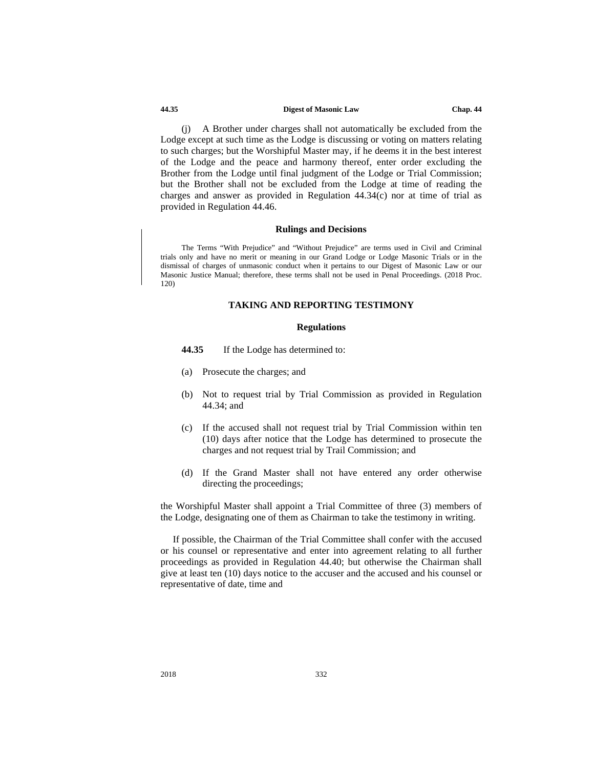### **44.35 Digest of Masonic Law Chap. 44**

(j) A Brother under charges shall not automatically be excluded from the Lodge except at such time as the Lodge is discussing or voting on matters relating to such charges; but the Worshipful Master may, if he deems it in the best interest of the Lodge and the peace and harmony thereof, enter order excluding the Brother from the Lodge until final judgment of the Lodge or Trial Commission; but the Brother shall not be excluded from the Lodge at time of reading the charges and answer as provided in Regulation 44.34(c) nor at time of trial as provided in Regulation 44.46.

### **Rulings and Decisions**

The Terms "With Prejudice" and "Without Prejudice" are terms used in Civil and Criminal trials only and have no merit or meaning in our Grand Lodge or Lodge Masonic Trials or in the dismissal of charges of unmasonic conduct when it pertains to our Digest of Masonic Law or our Masonic Justice Manual; therefore, these terms shall not be used in Penal Proceedings. (2018 Proc. 120)

# **TAKING AND REPORTING TESTIMONY**

### **Regulations**

- **44.35** If the Lodge has determined to:
- (a) Prosecute the charges; and
- (b) Not to request trial by Trial Commission as provided in Regulation 44.34; and
- (c) If the accused shall not request trial by Trial Commission within ten (10) days after notice that the Lodge has determined to prosecute the charges and not request trial by Trail Commission; and
- (d) If the Grand Master shall not have entered any order otherwise directing the proceedings;

the Worshipful Master shall appoint a Trial Committee of three (3) members of the Lodge, designating one of them as Chairman to take the testimony in writing.

 If possible, the Chairman of the Trial Committee shall confer with the accused or his counsel or representative and enter into agreement relating to all further proceedings as provided in Regulation 44.40; but otherwise the Chairman shall give at least ten (10) days notice to the accuser and the accused and his counsel or representative of date, time and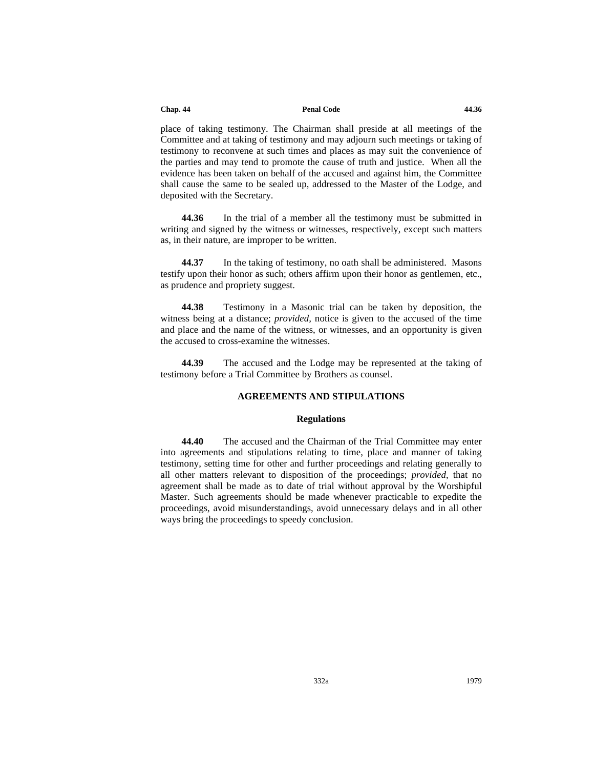place of taking testimony. The Chairman shall preside at all meetings of the Committee and at taking of testimony and may adjourn such meetings or taking of testimony to reconvene at such times and places as may suit the convenience of the parties and may tend to promote the cause of truth and justice. When all the evidence has been taken on behalf of the accused and against him, the Committee shall cause the same to be sealed up, addressed to the Master of the Lodge, and deposited with the Secretary.

**44.36** In the trial of a member all the testimony must be submitted in writing and signed by the witness or witnesses, respectively, except such matters as, in their nature, are improper to be written.

**44.37** In the taking of testimony, no oath shall be administered. Masons testify upon their honor as such; others affirm upon their honor as gentlemen, etc., as prudence and propriety suggest.

**44.38** Testimony in a Masonic trial can be taken by deposition, the witness being at a distance; *provided,* notice is given to the accused of the time and place and the name of the witness, or witnesses, and an opportunity is given the accused to cross-examine the witnesses.

**44.39** The accused and the Lodge may be represented at the taking of testimony before a Trial Committee by Brothers as counsel.

# **AGREEMENTS AND STIPULATIONS**

### **Regulations**

**44.40** The accused and the Chairman of the Trial Committee may enter into agreements and stipulations relating to time, place and manner of taking testimony, setting time for other and further proceedings and relating generally to all other matters relevant to disposition of the proceedings; *provided*, that no agreement shall be made as to date of trial without approval by the Worshipful Master. Such agreements should be made whenever practicable to expedite the proceedings, avoid misunderstandings, avoid unnecessary delays and in all other ways bring the proceedings to speedy conclusion.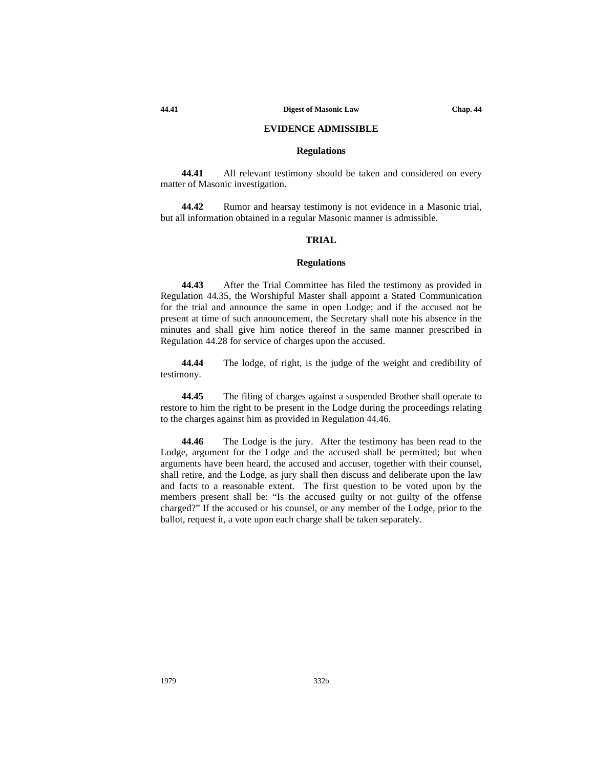# **EVIDENCE ADMISSIBLE**

### **Regulations**

**44.41** All relevant testimony should be taken and considered on every matter of Masonic investigation.

**44.42** Rumor and hearsay testimony is not evidence in a Masonic trial, but all information obtained in a regular Masonic manner is admissible.

# **TRIAL**

### **Regulations**

**44.43** After the Trial Committee has filed the testimony as provided in Regulation 44.35, the Worshipful Master shall appoint a Stated Communication for the trial and announce the same in open Lodge; and if the accused not be present at time of such announcement, the Secretary shall note his absence in the minutes and shall give him notice thereof in the same manner prescribed in Regulation 44.28 for service of charges upon the accused.

**44.44** The lodge, of right, is the judge of the weight and credibility of testimony.

**44.45** The filing of charges against a suspended Brother shall operate to restore to him the right to be present in the Lodge during the proceedings relating to the charges against him as provided in Regulation 44.46.

**44.46** The Lodge is the jury. After the testimony has been read to the Lodge, argument for the Lodge and the accused shall be permitted; but when arguments have been heard, the accused and accuser, together with their counsel, shall retire, and the Lodge, as jury shall then discuss and deliberate upon the law and facts to a reasonable extent. The first question to be voted upon by the members present shall be: "Is the accused guilty or not guilty of the offense charged?" If the accused or his counsel, or any member of the Lodge, prior to the ballot, request it, a vote upon each charge shall be taken separately.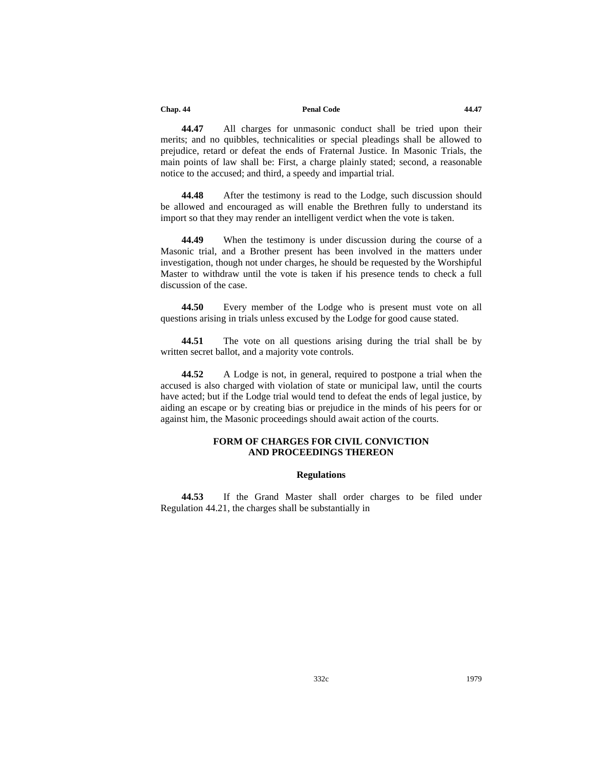**44.47** All charges for unmasonic conduct shall be tried upon their merits; and no quibbles, technicalities or special pleadings shall be allowed to prejudice, retard or defeat the ends of Fraternal Justice. In Masonic Trials, the main points of law shall be: First, a charge plainly stated; second, a reasonable notice to the accused; and third, a speedy and impartial trial.

**44.48** After the testimony is read to the Lodge, such discussion should be allowed and encouraged as will enable the Brethren fully to understand its import so that they may render an intelligent verdict when the vote is taken.

**44.49** When the testimony is under discussion during the course of a Masonic trial, and a Brother present has been involved in the matters under investigation, though not under charges, he should be requested by the Worshipful Master to withdraw until the vote is taken if his presence tends to check a full discussion of the case.

**44.50** Every member of the Lodge who is present must vote on all questions arising in trials unless excused by the Lodge for good cause stated.

**44.51** The vote on all questions arising during the trial shall be by written secret ballot, and a majority vote controls.

**44.52** A Lodge is not, in general, required to postpone a trial when the accused is also charged with violation of state or municipal law, until the courts have acted; but if the Lodge trial would tend to defeat the ends of legal justice, by aiding an escape or by creating bias or prejudice in the minds of his peers for or against him, the Masonic proceedings should await action of the courts.

# **FORM OF CHARGES FOR CIVIL CONVICTION AND PROCEEDINGS THEREON**

# **Regulations**

**44.53** If the Grand Master shall order charges to be filed under Regulation 44.21, the charges shall be substantially in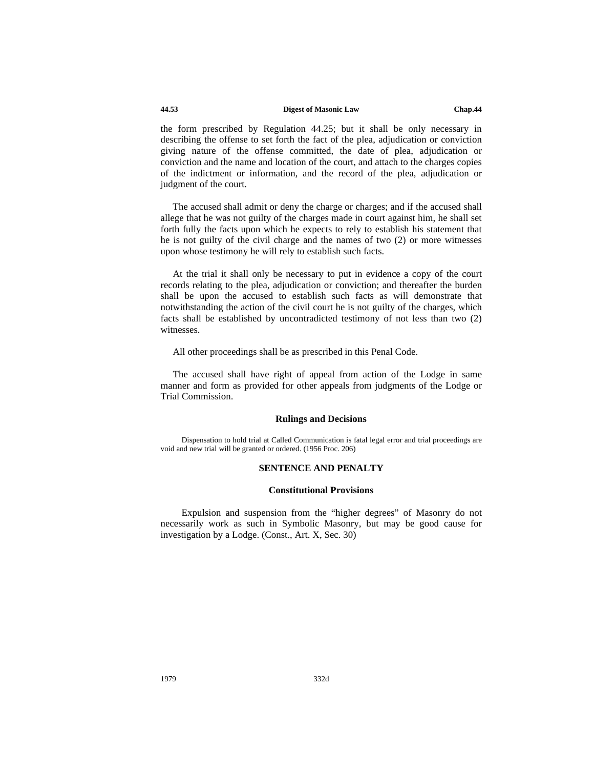### **44.53 Digest of Masonic Law Chap.44**

the form prescribed by Regulation 44.25; but it shall be only necessary in describing the offense to set forth the fact of the plea, adjudication or conviction giving nature of the offense committed, the date of plea, adjudication or conviction and the name and location of the court, and attach to the charges copies of the indictment or information, and the record of the plea, adjudication or judgment of the court.

 The accused shall admit or deny the charge or charges; and if the accused shall allege that he was not guilty of the charges made in court against him, he shall set forth fully the facts upon which he expects to rely to establish his statement that he is not guilty of the civil charge and the names of two (2) or more witnesses upon whose testimony he will rely to establish such facts.

 At the trial it shall only be necessary to put in evidence a copy of the court records relating to the plea, adjudication or conviction; and thereafter the burden shall be upon the accused to establish such facts as will demonstrate that notwithstanding the action of the civil court he is not guilty of the charges, which facts shall be established by uncontradicted testimony of not less than two (2) witnesses.

All other proceedings shall be as prescribed in this Penal Code.

 The accused shall have right of appeal from action of the Lodge in same manner and form as provided for other appeals from judgments of the Lodge or Trial Commission.

### **Rulings and Decisions**

Dispensation to hold trial at Called Communication is fatal legal error and trial proceedings are void and new trial will be granted or ordered. (1956 Proc. 206)

### **SENTENCE AND PENALTY**

# **Constitutional Provisions**

Expulsion and suspension from the "higher degrees" of Masonry do not necessarily work as such in Symbolic Masonry, but may be good cause for investigation by a Lodge. (Const., Art. X, Sec. 30)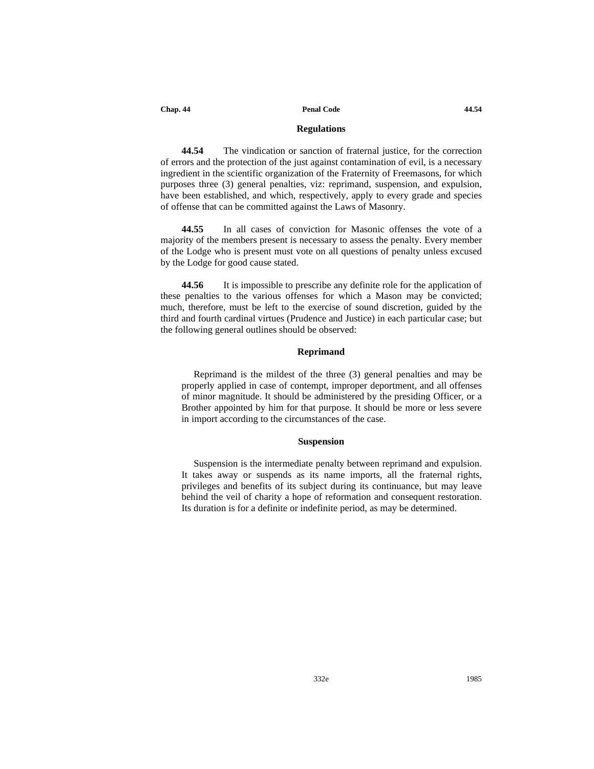# **Regulations**

**44.54** The vindication or sanction of fraternal justice, for the correction of errors and the protection of the just against contamination of evil, is a necessary ingredient in the scientific organization of the Fraternity of Freemasons, for which purposes three (3) general penalties, viz: reprimand, suspension, and expulsion, have been established, and which, respectively, apply to every grade and species of offense that can be committed against the Laws of Masonry.

**44.55** In all cases of conviction for Masonic offenses the vote of a majority of the members present is necessary to assess the penalty. Every member of the Lodge who is present must vote on all questions of penalty unless excused by the Lodge for good cause stated.

**44.56** It is impossible to prescribe any definite role for the application of these penalties to the various offenses for which a Mason may be convicted; much, therefore, must be left to the exercise of sound discretion, guided by the third and fourth cardinal virtues (Prudence and Justice) in each particular case; but the following general outlines should be observed:

# **Reprimand**

 Reprimand is the mildest of the three (3) general penalties and may be properly applied in case of contempt, improper deportment, and all offenses of minor magnitude. It should be administered by the presiding Officer, or a Brother appointed by him for that purpose. It should be more or less severe in import according to the circumstances of the case.

# **Suspension**

 Suspension is the intermediate penalty between reprimand and expulsion. It takes away or suspends as its name imports, all the fraternal rights, privileges and benefits of its subject during its continuance, but may leave behind the veil of charity a hope of reformation and consequent restoration. Its duration is for a definite or indefinite period, as may be determined.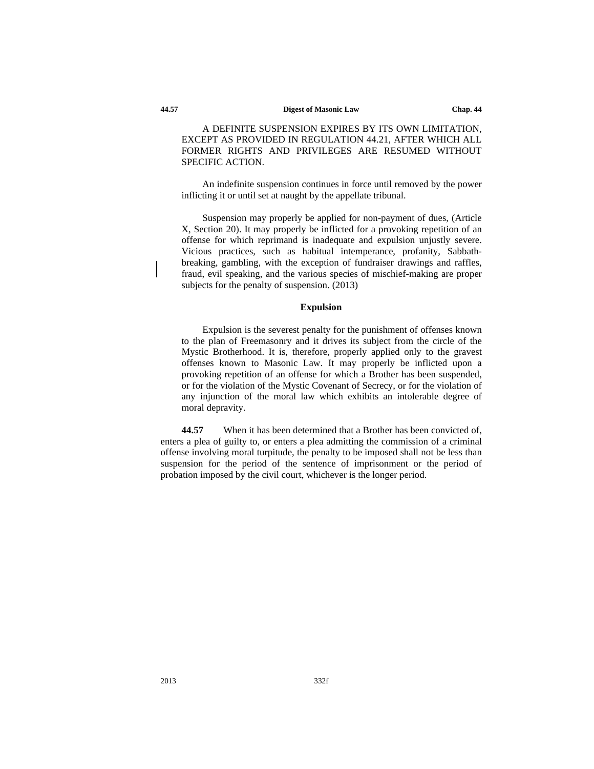### **44.57 Digest of Masonic Law Chap. 44**

A DEFINITE SUSPENSION EXPIRES BY ITS OWN LIMITATION, EXCEPT AS PROVIDED IN REGULATION 44.21, AFTER WHICH ALL FORMER RIGHTS AND PRIVILEGES ARE RESUMED WITHOUT SPECIFIC ACTION.

An indefinite suspension continues in force until removed by the power inflicting it or until set at naught by the appellate tribunal.

Suspension may properly be applied for non-payment of dues, (Article X, Section 20). It may properly be inflicted for a provoking repetition of an offense for which reprimand is inadequate and expulsion unjustly severe. Vicious practices, such as habitual intemperance, profanity, Sabbathbreaking, gambling, with the exception of fundraiser drawings and raffles, fraud, evil speaking, and the various species of mischief-making are proper subjects for the penalty of suspension. (2013)

# **Expulsion**

Expulsion is the severest penalty for the punishment of offenses known to the plan of Freemasonry and it drives its subject from the circle of the Mystic Brotherhood. It is, therefore, properly applied only to the gravest offenses known to Masonic Law. It may properly be inflicted upon a provoking repetition of an offense for which a Brother has been suspended, or for the violation of the Mystic Covenant of Secrecy, or for the violation of any injunction of the moral law which exhibits an intolerable degree of moral depravity.

**44.57** When it has been determined that a Brother has been convicted of, enters a plea of guilty to, or enters a plea admitting the commission of a criminal offense involving moral turpitude, the penalty to be imposed shall not be less than suspension for the period of the sentence of imprisonment or the period of probation imposed by the civil court, whichever is the longer period.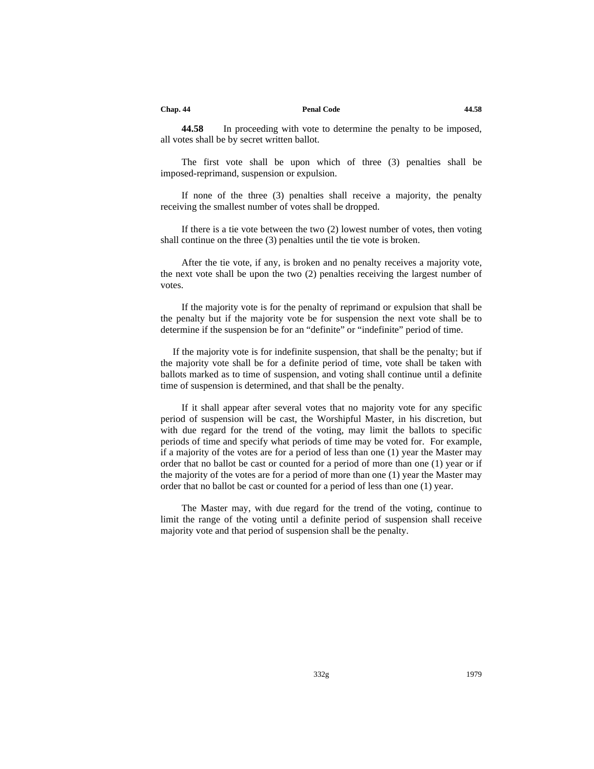**44.58** In proceeding with vote to determine the penalty to be imposed, all votes shall be by secret written ballot.

The first vote shall be upon which of three (3) penalties shall be imposed-reprimand, suspension or expulsion.

If none of the three (3) penalties shall receive a majority, the penalty receiving the smallest number of votes shall be dropped.

If there is a tie vote between the two (2) lowest number of votes, then voting shall continue on the three (3) penalties until the tie vote is broken.

After the tie vote, if any, is broken and no penalty receives a majority vote, the next vote shall be upon the two (2) penalties receiving the largest number of votes.

If the majority vote is for the penalty of reprimand or expulsion that shall be the penalty but if the majority vote be for suspension the next vote shall be to determine if the suspension be for an "definite" or "indefinite" period of time.

 If the majority vote is for indefinite suspension, that shall be the penalty; but if the majority vote shall be for a definite period of time, vote shall be taken with ballots marked as to time of suspension, and voting shall continue until a definite time of suspension is determined, and that shall be the penalty.

If it shall appear after several votes that no majority vote for any specific period of suspension will be cast, the Worshipful Master, in his discretion, but with due regard for the trend of the voting, may limit the ballots to specific periods of time and specify what periods of time may be voted for. For example, if a majority of the votes are for a period of less than one (1) year the Master may order that no ballot be cast or counted for a period of more than one (1) year or if the majority of the votes are for a period of more than one (1) year the Master may order that no ballot be cast or counted for a period of less than one (1) year.

The Master may, with due regard for the trend of the voting, continue to limit the range of the voting until a definite period of suspension shall receive majority vote and that period of suspension shall be the penalty.

332g 1979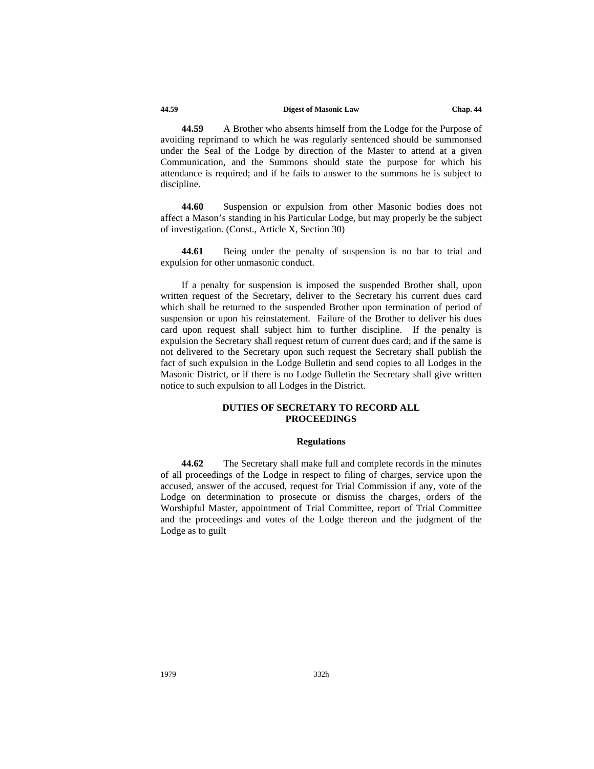# **44.59 Digest of Masonic Law Chap. 44**

**44.59** A Brother who absents himself from the Lodge for the Purpose of avoiding reprimand to which he was regularly sentenced should be summonsed under the Seal of the Lodge by direction of the Master to attend at a given Communication, and the Summons should state the purpose for which his attendance is required; and if he fails to answer to the summons he is subject to discipline.

**44.60** Suspension or expulsion from other Masonic bodies does not affect a Mason's standing in his Particular Lodge, but may properly be the subject of investigation. (Const., Article X, Section 30)

**44.61** Being under the penalty of suspension is no bar to trial and expulsion for other unmasonic conduct.

If a penalty for suspension is imposed the suspended Brother shall, upon written request of the Secretary, deliver to the Secretary his current dues card which shall be returned to the suspended Brother upon termination of period of suspension or upon his reinstatement. Failure of the Brother to deliver his dues card upon request shall subject him to further discipline. If the penalty is expulsion the Secretary shall request return of current dues card; and if the same is not delivered to the Secretary upon such request the Secretary shall publish the fact of such expulsion in the Lodge Bulletin and send copies to all Lodges in the Masonic District, or if there is no Lodge Bulletin the Secretary shall give written notice to such expulsion to all Lodges in the District.

# **DUTIES OF SECRETARY TO RECORD ALL PROCEEDINGS**

## **Regulations**

**44.62** The Secretary shall make full and complete records in the minutes of all proceedings of the Lodge in respect to filing of charges, service upon the accused, answer of the accused, request for Trial Commission if any, vote of the Lodge on determination to prosecute or dismiss the charges, orders of the Worshipful Master, appointment of Trial Committee, report of Trial Committee and the proceedings and votes of the Lodge thereon and the judgment of the Lodge as to guilt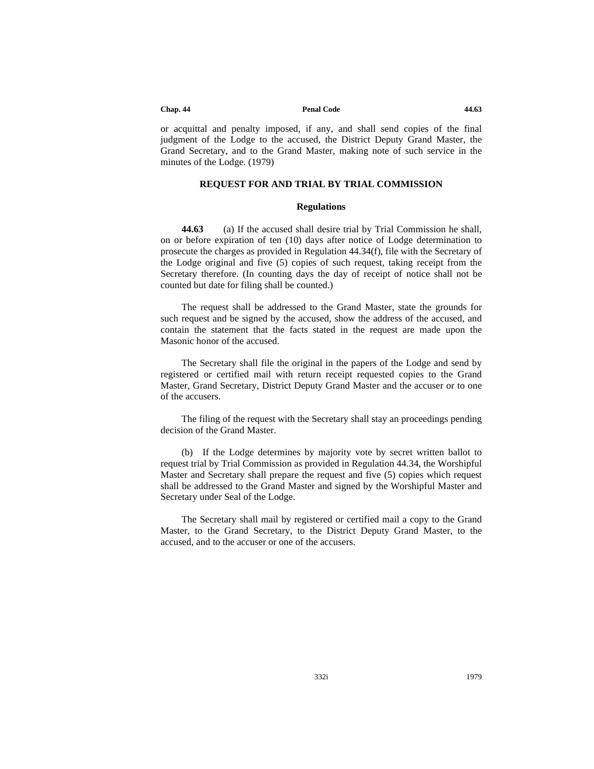or acquittal and penalty imposed, if any, and shall send copies of the final judgment of the Lodge to the accused, the District Deputy Grand Master, the Grand Secretary, and to the Grand Master, making note of such service in the minutes of the Lodge. (1979)

# **REQUEST FOR AND TRIAL BY TRIAL COMMISSION**

# **Regulations**

**44.63** (a) If the accused shall desire trial by Trial Commission he shall, on or before expiration of ten (10) days after notice of Lodge determination to prosecute the charges as provided in Regulation 44.34(f), file with the Secretary of the Lodge original and five (5) copies of such request, taking receipt from the Secretary therefore. (In counting days the day of receipt of notice shall not be counted but date for filing shall be counted.)

The request shall be addressed to the Grand Master, state the grounds for such request and be signed by the accused, show the address of the accused, and contain the statement that the facts stated in the request are made upon the Masonic honor of the accused.

The Secretary shall file the original in the papers of the Lodge and send by registered or certified mail with return receipt requested copies to the Grand Master, Grand Secretary, District Deputy Grand Master and the accuser or to one of the accusers.

The filing of the request with the Secretary shall stay an proceedings pending decision of the Grand Master.

(b) If the Lodge determines by majority vote by secret written ballot to request trial by Trial Commission as provided in Regulation 44.34, the Worshipful Master and Secretary shall prepare the request and five (5) copies which request shall be addressed to the Grand Master and signed by the Worshipful Master and Secretary under Seal of the Lodge.

The Secretary shall mail by registered or certified mail a copy to the Grand Master, to the Grand Secretary, to the District Deputy Grand Master, to the accused, and to the accuser or one of the accusers.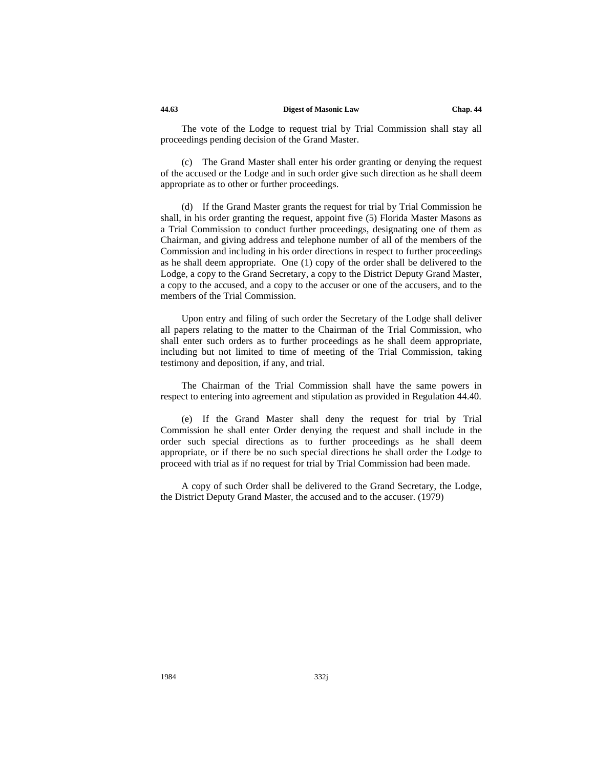### **44.63 Digest of Masonic Law Chap. 44**

The vote of the Lodge to request trial by Trial Commission shall stay all proceedings pending decision of the Grand Master.

(c) The Grand Master shall enter his order granting or denying the request of the accused or the Lodge and in such order give such direction as he shall deem appropriate as to other or further proceedings.

(d) If the Grand Master grants the request for trial by Trial Commission he shall, in his order granting the request, appoint five (5) Florida Master Masons as a Trial Commission to conduct further proceedings, designating one of them as Chairman, and giving address and telephone number of all of the members of the Commission and including in his order directions in respect to further proceedings as he shall deem appropriate. One (1) copy of the order shall be delivered to the Lodge, a copy to the Grand Secretary, a copy to the District Deputy Grand Master, a copy to the accused, and a copy to the accuser or one of the accusers, and to the members of the Trial Commission.

Upon entry and filing of such order the Secretary of the Lodge shall deliver all papers relating to the matter to the Chairman of the Trial Commission, who shall enter such orders as to further proceedings as he shall deem appropriate, including but not limited to time of meeting of the Trial Commission, taking testimony and deposition, if any, and trial.

The Chairman of the Trial Commission shall have the same powers in respect to entering into agreement and stipulation as provided in Regulation 44.40.

(e) If the Grand Master shall deny the request for trial by Trial Commission he shall enter Order denying the request and shall include in the order such special directions as to further proceedings as he shall deem appropriate, or if there be no such special directions he shall order the Lodge to proceed with trial as if no request for trial by Trial Commission had been made.

A copy of such Order shall be delivered to the Grand Secretary, the Lodge, the District Deputy Grand Master, the accused and to the accuser. (1979)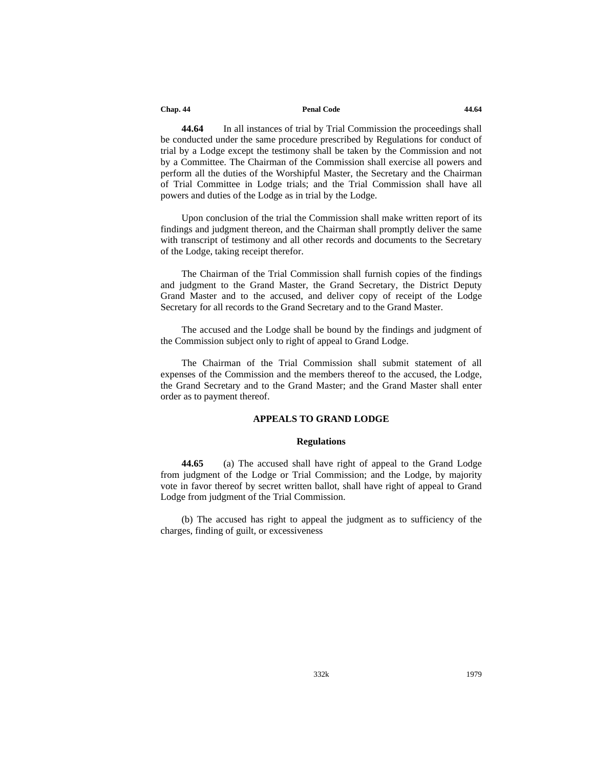**44.64** In all instances of trial by Trial Commission the proceedings shall be conducted under the same procedure prescribed by Regulations for conduct of trial by a Lodge except the testimony shall be taken by the Commission and not by a Committee. The Chairman of the Commission shall exercise all powers and perform all the duties of the Worshipful Master, the Secretary and the Chairman of Trial Committee in Lodge trials; and the Trial Commission shall have all powers and duties of the Lodge as in trial by the Lodge.

Upon conclusion of the trial the Commission shall make written report of its findings and judgment thereon, and the Chairman shall promptly deliver the same with transcript of testimony and all other records and documents to the Secretary of the Lodge, taking receipt therefor.

The Chairman of the Trial Commission shall furnish copies of the findings and judgment to the Grand Master, the Grand Secretary, the District Deputy Grand Master and to the accused, and deliver copy of receipt of the Lodge Secretary for all records to the Grand Secretary and to the Grand Master.

The accused and the Lodge shall be bound by the findings and judgment of the Commission subject only to right of appeal to Grand Lodge.

The Chairman of the Trial Commission shall submit statement of all expenses of the Commission and the members thereof to the accused, the Lodge, the Grand Secretary and to the Grand Master; and the Grand Master shall enter order as to payment thereof.

# **APPEALS TO GRAND LODGE**

# **Regulations**

**44.65** (a) The accused shall have right of appeal to the Grand Lodge from judgment of the Lodge or Trial Commission; and the Lodge, by majority vote in favor thereof by secret written ballot, shall have right of appeal to Grand Lodge from judgment of the Trial Commission.

(b) The accused has right to appeal the judgment as to sufficiency of the charges, finding of guilt, or excessiveness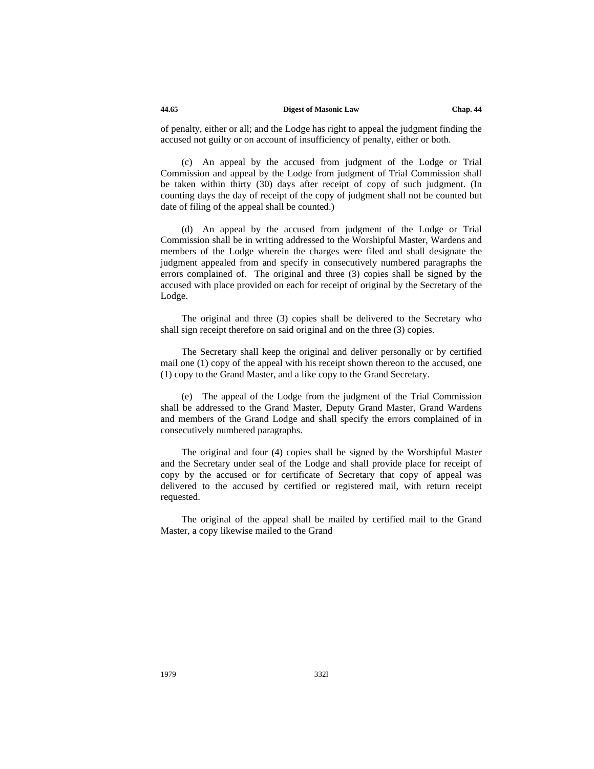### **44.65 Digest of Masonic Law Chap. 44**

of penalty, either or all; and the Lodge has right to appeal the judgment finding the accused not guilty or on account of insufficiency of penalty, either or both.

(c) An appeal by the accused from judgment of the Lodge or Trial Commission and appeal by the Lodge from judgment of Trial Commission shall be taken within thirty (30) days after receipt of copy of such judgment. (In counting days the day of receipt of the copy of judgment shall not be counted but date of filing of the appeal shall be counted.)

(d) An appeal by the accused from judgment of the Lodge or Trial Commission shall be in writing addressed to the Worshipful Master, Wardens and members of the Lodge wherein the charges were filed and shall designate the judgment appealed from and specify in consecutively numbered paragraphs the errors complained of. The original and three (3) copies shall be signed by the accused with place provided on each for receipt of original by the Secretary of the Lodge.

The original and three (3) copies shall be delivered to the Secretary who shall sign receipt therefore on said original and on the three (3) copies.

The Secretary shall keep the original and deliver personally or by certified mail one (1) copy of the appeal with his receipt shown thereon to the accused, one (1) copy to the Grand Master, and a like copy to the Grand Secretary.

(e) The appeal of the Lodge from the judgment of the Trial Commission shall be addressed to the Grand Master, Deputy Grand Master, Grand Wardens and members of the Grand Lodge and shall specify the errors complained of in consecutively numbered paragraphs.

The original and four (4) copies shall be signed by the Worshipful Master and the Secretary under seal of the Lodge and shall provide place for receipt of copy by the accused or for certificate of Secretary that copy of appeal was delivered to the accused by certified or registered mail, with return receipt requested.

The original of the appeal shall be mailed by certified mail to the Grand Master, a copy likewise mailed to the Grand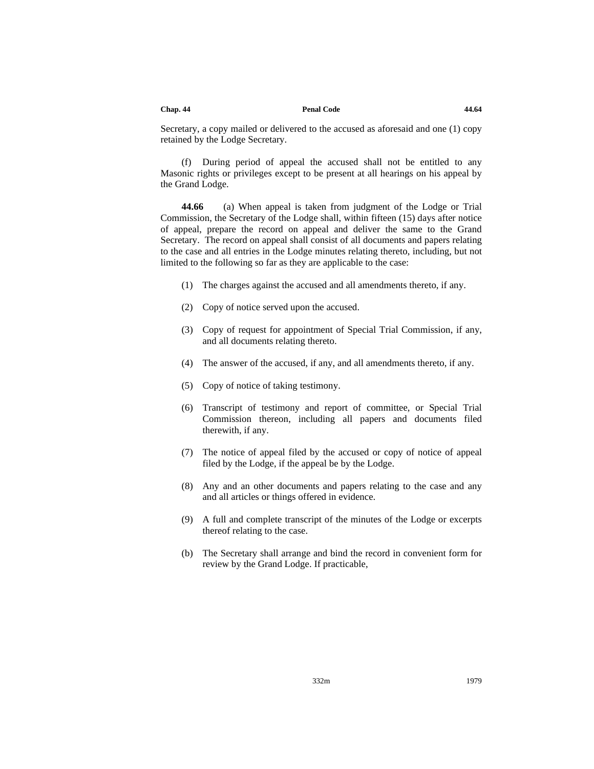Secretary, a copy mailed or delivered to the accused as aforesaid and one (1) copy retained by the Lodge Secretary.

(f) During period of appeal the accused shall not be entitled to any Masonic rights or privileges except to be present at all hearings on his appeal by the Grand Lodge.

**44.66** (a) When appeal is taken from judgment of the Lodge or Trial Commission, the Secretary of the Lodge shall, within fifteen (15) days after notice of appeal, prepare the record on appeal and deliver the same to the Grand Secretary. The record on appeal shall consist of all documents and papers relating to the case and all entries in the Lodge minutes relating thereto, including, but not limited to the following so far as they are applicable to the case:

- (1) The charges against the accused and all amendments thereto, if any.
- (2) Copy of notice served upon the accused.
- (3) Copy of request for appointment of Special Trial Commission, if any, and all documents relating thereto.
- (4) The answer of the accused, if any, and all amendments thereto, if any.
- (5) Copy of notice of taking testimony.
- (6) Transcript of testimony and report of committee, or Special Trial Commission thereon, including all papers and documents filed therewith, if any.
- (7) The notice of appeal filed by the accused or copy of notice of appeal filed by the Lodge, if the appeal be by the Lodge.
- (8) Any and an other documents and papers relating to the case and any and all articles or things offered in evidence.
- (9) A full and complete transcript of the minutes of the Lodge or excerpts thereof relating to the case.
- (b) The Secretary shall arrange and bind the record in convenient form for review by the Grand Lodge. If practicable,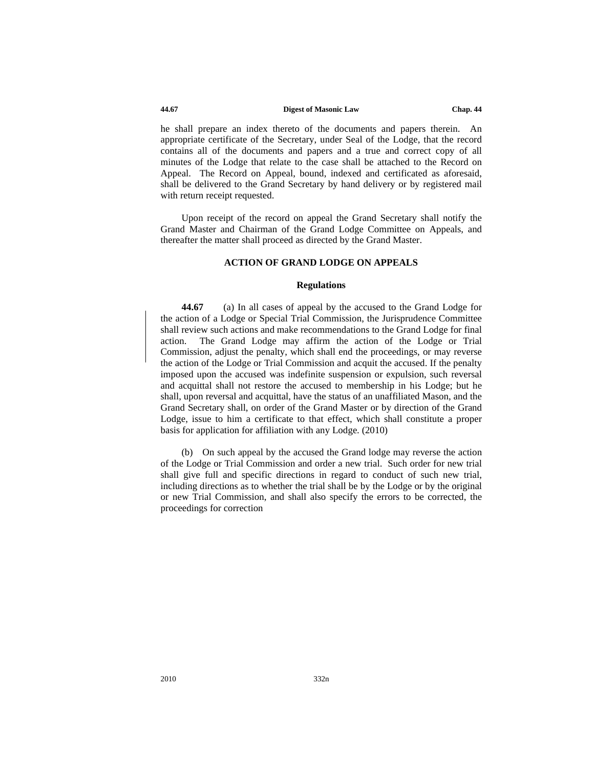# **44.67 Digest of Masonic Law Chap. 44**

he shall prepare an index thereto of the documents and papers therein. An appropriate certificate of the Secretary, under Seal of the Lodge, that the record contains all of the documents and papers and a true and correct copy of all minutes of the Lodge that relate to the case shall be attached to the Record on Appeal. The Record on Appeal, bound, indexed and certificated as aforesaid, shall be delivered to the Grand Secretary by hand delivery or by registered mail with return receipt requested.

Upon receipt of the record on appeal the Grand Secretary shall notify the Grand Master and Chairman of the Grand Lodge Committee on Appeals, and thereafter the matter shall proceed as directed by the Grand Master.

# **ACTION OF GRAND LODGE ON APPEALS**

# **Regulations**

**44.67** (a) In all cases of appeal by the accused to the Grand Lodge for the action of a Lodge or Special Trial Commission, the Jurisprudence Committee shall review such actions and make recommendations to the Grand Lodge for final action. The Grand Lodge may affirm the action of the Lodge or Trial Commission, adjust the penalty, which shall end the proceedings, or may reverse the action of the Lodge or Trial Commission and acquit the accused. If the penalty imposed upon the accused was indefinite suspension or expulsion, such reversal and acquittal shall not restore the accused to membership in his Lodge; but he shall, upon reversal and acquittal, have the status of an unaffiliated Mason, and the Grand Secretary shall, on order of the Grand Master or by direction of the Grand Lodge, issue to him a certificate to that effect, which shall constitute a proper basis for application for affiliation with any Lodge. (2010)

(b) On such appeal by the accused the Grand lodge may reverse the action of the Lodge or Trial Commission and order a new trial. Such order for new trial shall give full and specific directions in regard to conduct of such new trial, including directions as to whether the trial shall be by the Lodge or by the original or new Trial Commission, and shall also specify the errors to be corrected, the proceedings for correction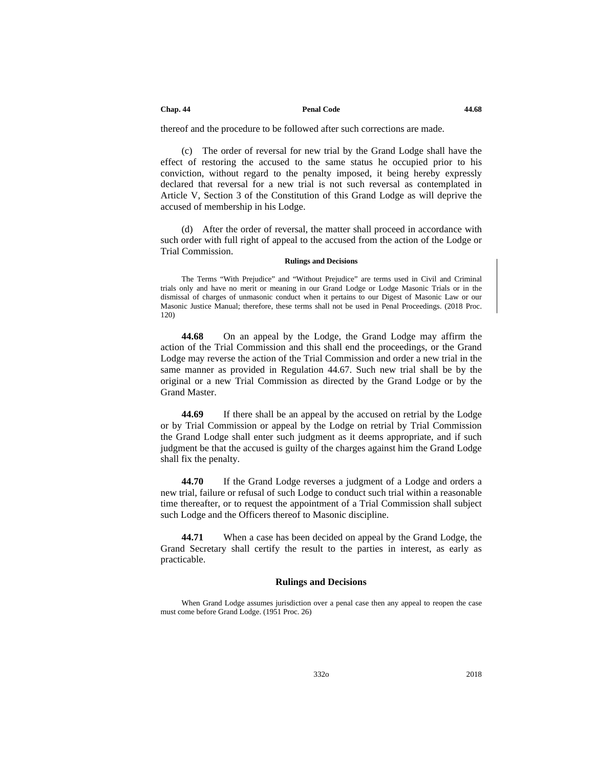thereof and the procedure to be followed after such corrections are made.

(c) The order of reversal for new trial by the Grand Lodge shall have the effect of restoring the accused to the same status he occupied prior to his conviction, without regard to the penalty imposed, it being hereby expressly declared that reversal for a new trial is not such reversal as contemplated in Article V, Section 3 of the Constitution of this Grand Lodge as will deprive the accused of membership in his Lodge.

(d) After the order of reversal, the matter shall proceed in accordance with such order with full right of appeal to the accused from the action of the Lodge or Trial Commission.

# **Rulings and Decisions**

The Terms "With Prejudice" and "Without Prejudice" are terms used in Civil and Criminal trials only and have no merit or meaning in our Grand Lodge or Lodge Masonic Trials or in the dismissal of charges of unmasonic conduct when it pertains to our Digest of Masonic Law or our Masonic Justice Manual; therefore, these terms shall not be used in Penal Proceedings. (2018 Proc. 120)

**44.68** On an appeal by the Lodge, the Grand Lodge may affirm the action of the Trial Commission and this shall end the proceedings, or the Grand Lodge may reverse the action of the Trial Commission and order a new trial in the same manner as provided in Regulation 44.67. Such new trial shall be by the original or a new Trial Commission as directed by the Grand Lodge or by the Grand Master.

**44.69** If there shall be an appeal by the accused on retrial by the Lodge or by Trial Commission or appeal by the Lodge on retrial by Trial Commission the Grand Lodge shall enter such judgment as it deems appropriate, and if such judgment be that the accused is guilty of the charges against him the Grand Lodge shall fix the penalty.

**44.70** If the Grand Lodge reverses a judgment of a Lodge and orders a new trial, failure or refusal of such Lodge to conduct such trial within a reasonable time thereafter, or to request the appointment of a Trial Commission shall subject such Lodge and the Officers thereof to Masonic discipline.

**44.71** When a case has been decided on appeal by the Grand Lodge, the Grand Secretary shall certify the result to the parties in interest, as early as practicable.

### **Rulings and Decisions**

When Grand Lodge assumes jurisdiction over a penal case then any appeal to reopen the case must come before Grand Lodge. (1951 Proc. 26)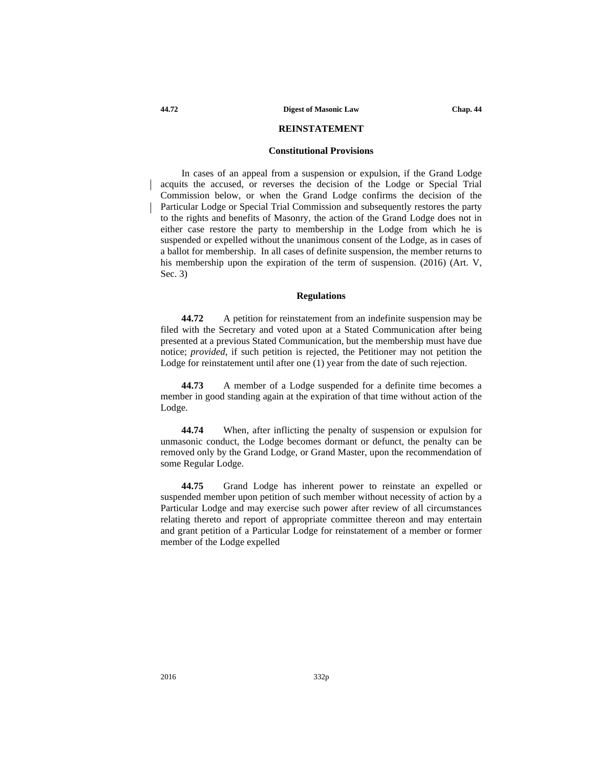# **REINSTATEMENT**

### **Constitutional Provisions**

In cases of an appeal from a suspension or expulsion, if the Grand Lodge acquits the accused, or reverses the decision of the Lodge or Special Trial Commission below, or when the Grand Lodge confirms the decision of the Particular Lodge or Special Trial Commission and subsequently restores the party to the rights and benefits of Masonry, the action of the Grand Lodge does not in either case restore the party to membership in the Lodge from which he is suspended or expelled without the unanimous consent of the Lodge, as in cases of a ballot for membership. In all cases of definite suspension, the member returns to his membership upon the expiration of the term of suspension. (2016) (Art. V, Sec. 3)

### **Regulations**

**44.72** A petition for reinstatement from an indefinite suspension may be filed with the Secretary and voted upon at a Stated Communication after being presented at a previous Stated Communication, but the membership must have due notice; *provided*, if such petition is rejected, the Petitioner may not petition the Lodge for reinstatement until after one (1) year from the date of such rejection.

**44.73** A member of a Lodge suspended for a definite time becomes a member in good standing again at the expiration of that time without action of the Lodge.

**44.74** When, after inflicting the penalty of suspension or expulsion for unmasonic conduct, the Lodge becomes dormant or defunct, the penalty can be removed only by the Grand Lodge, or Grand Master, upon the recommendation of some Regular Lodge.

**44.75** Grand Lodge has inherent power to reinstate an expelled or suspended member upon petition of such member without necessity of action by a Particular Lodge and may exercise such power after review of all circumstances relating thereto and report of appropriate committee thereon and may entertain and grant petition of a Particular Lodge for reinstatement of a member or former member of the Lodge expelled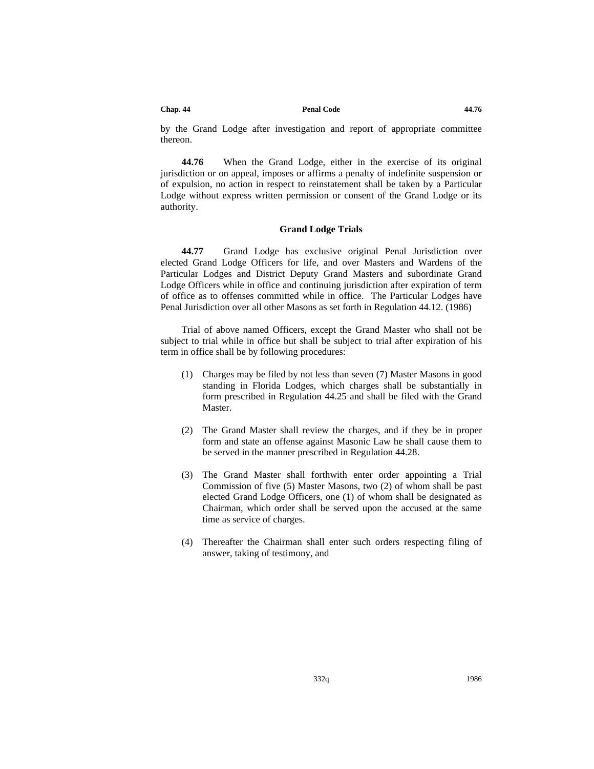by the Grand Lodge after investigation and report of appropriate committee thereon.

**44.76** When the Grand Lodge, either in the exercise of its original jurisdiction or on appeal, imposes or affirms a penalty of indefinite suspension or of expulsion, no action in respect to reinstatement shall be taken by a Particular Lodge without express written permission or consent of the Grand Lodge or its authority.

# **Grand Lodge Trials**

**44.77** Grand Lodge has exclusive original Penal Jurisdiction over elected Grand Lodge Officers for life, and over Masters and Wardens of the Particular Lodges and District Deputy Grand Masters and subordinate Grand Lodge Officers while in office and continuing jurisdiction after expiration of term of office as to offenses committed while in office. The Particular Lodges have Penal Jurisdiction over all other Masons as set forth in Regulation 44.12. (1986)

Trial of above named Officers, except the Grand Master who shall not be subject to trial while in office but shall be subject to trial after expiration of his term in office shall be by following procedures:

- (1) Charges may be filed by not less than seven (7) Master Masons in good standing in Florida Lodges, which charges shall be substantially in form prescribed in Regulation 44.25 and shall be filed with the Grand Master.
- (2) The Grand Master shall review the charges, and if they be in proper form and state an offense against Masonic Law he shall cause them to be served in the manner prescribed in Regulation 44.28.
- (3) The Grand Master shall forthwith enter order appointing a Trial Commission of five (5) Master Masons, two (2) of whom shall be past elected Grand Lodge Officers, one (1) of whom shall be designated as Chairman, which order shall be served upon the accused at the same time as service of charges.
- (4) Thereafter the Chairman shall enter such orders respecting filing of answer, taking of testimony, and